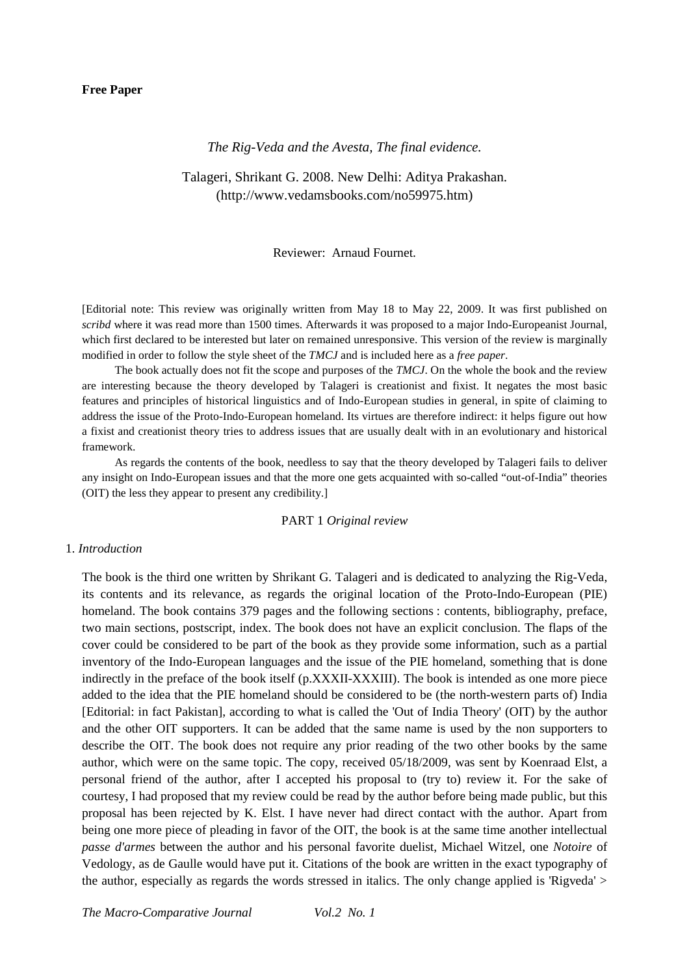# **Free Paper**

# *The Rig-Veda and the Avesta, The final evidence.*

Talageri, Shrikant G. 2008. New Delhi: Aditya Prakashan. (http://www.vedamsbooks.com/no59975.htm)

#### Reviewer: Arnaud Fournet.

[Editorial note: This review was originally written from May 18 to May 22, 2009. It was first published on *scribd* where it was read more than 1500 times. Afterwards it was proposed to a major Indo-Europeanist Journal, which first declared to be interested but later on remained unresponsive. This version of the review is marginally modified in order to follow the style sheet of the *TMCJ* and is included here as a *free paper*.

The book actually does not fit the scope and purposes of the *TMCJ*. On the whole the book and the review are interesting because the theory developed by Talageri is creationist and fixist. It negates the most basic features and principles of historical linguistics and of Indo-European studies in general, in spite of claiming to address the issue of the Proto-Indo-European homeland. Its virtues are therefore indirect: it helps figure out how a fixist and creationist theory tries to address issues that are usually dealt with in an evolutionary and historical framework.

As regards the contents of the book, needless to say that the theory developed by Talageri fails to deliver any insight on Indo-European issues and that the more one gets acquainted with so-called "out-of-India" theories (OIT) the less they appear to present any credibility.]

### PART 1 *Original review*

#### 1. *Introduction*

The book is the third one written by Shrikant G. Talageri and is dedicated to analyzing the Rig-Veda, its contents and its relevance, as regards the original location of the Proto-Indo-European (PIE) homeland. The book contains 379 pages and the following sections : contents, bibliography, preface, two main sections, postscript, index. The book does not have an explicit conclusion. The flaps of the cover could be considered to be part of the book as they provide some information, such as a partial inventory of the Indo-European languages and the issue of the PIE homeland, something that is done indirectly in the preface of the book itself (p.XXXII-XXXIII). The book is intended as one more piece added to the idea that the PIE homeland should be considered to be (the north-western parts of) India [Editorial: in fact Pakistan], according to what is called the 'Out of India Theory' (OIT) by the author and the other OIT supporters. It can be added that the same name is used by the non supporters to describe the OIT. The book does not require any prior reading of the two other books by the same author, which were on the same topic. The copy, received 05/18/2009, was sent by Koenraad Elst, a personal friend of the author, after I accepted his proposal to (try to) review it. For the sake of courtesy, I had proposed that my review could be read by the author before being made public, but this proposal has been rejected by K. Elst. I have never had direct contact with the author. Apart from being one more piece of pleading in favor of the OIT, the book is at the same time another intellectual *passe d'armes* between the author and his personal favorite duelist, Michael Witzel, one *Notoire* of Vedology, as de Gaulle would have put it. Citations of the book are written in the exact typography of the author, especially as regards the words stressed in italics. The only change applied is 'Rigveda' >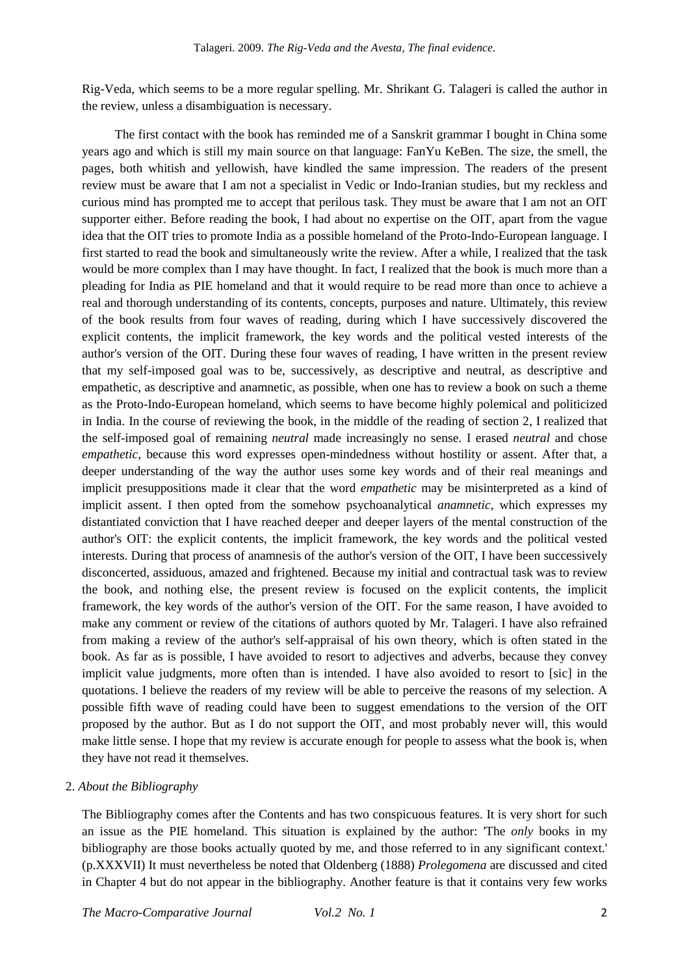Rig-Veda, which seems to be a more regular spelling. Mr. Shrikant G. Talageri is called the author in the review, unless a disambiguation is necessary.

The first contact with the book has reminded me of a Sanskrit grammar I bought in China some years ago and which is still my main source on that language: FanYu KeBen. The size, the smell, the pages, both whitish and yellowish, have kindled the same impression. The readers of the present review must be aware that I am not a specialist in Vedic or Indo-Iranian studies, but my reckless and curious mind has prompted me to accept that perilous task. They must be aware that I am not an OIT supporter either. Before reading the book, I had about no expertise on the OIT, apart from the vague idea that the OIT tries to promote India as a possible homeland of the Proto-Indo-European language. I first started to read the book and simultaneously write the review. After a while, I realized that the task would be more complex than I may have thought. In fact, I realized that the book is much more than a pleading for India as PIE homeland and that it would require to be read more than once to achieve a real and thorough understanding of its contents, concepts, purposes and nature. Ultimately, this review of the book results from four waves of reading, during which I have successively discovered the explicit contents, the implicit framework, the key words and the political vested interests of the author's version of the OIT. During these four waves of reading, I have written in the present review that my self-imposed goal was to be, successively, as descriptive and neutral, as descriptive and empathetic, as descriptive and anamnetic, as possible, when one has to review a book on such a theme as the Proto-Indo-European homeland, which seems to have become highly polemical and politicized in India. In the course of reviewing the book, in the middle of the reading of section 2, I realized that the self-imposed goal of remaining *neutral* made increasingly no sense. I erased *neutral* and chose *empathetic*, because this word expresses open-mindedness without hostility or assent. After that, a deeper understanding of the way the author uses some key words and of their real meanings and implicit presuppositions made it clear that the word *empathetic* may be misinterpreted as a kind of implicit assent. I then opted from the somehow psychoanalytical *anamnetic*, which expresses my distantiated conviction that I have reached deeper and deeper layers of the mental construction of the author's OIT: the explicit contents, the implicit framework, the key words and the political vested interests. During that process of anamnesis of the author's version of the OIT, I have been successively disconcerted, assiduous, amazed and frightened. Because my initial and contractual task was to review the book, and nothing else, the present review is focused on the explicit contents, the implicit framework, the key words of the author's version of the OIT. For the same reason, I have avoided to make any comment or review of the citations of authors quoted by Mr. Talageri. I have also refrained from making a review of the author's self-appraisal of his own theory, which is often stated in the book. As far as is possible, I have avoided to resort to adjectives and adverbs, because they convey implicit value judgments, more often than is intended. I have also avoided to resort to [sic] in the quotations. I believe the readers of my review will be able to perceive the reasons of my selection. A possible fifth wave of reading could have been to suggest emendations to the version of the OIT proposed by the author. But as I do not support the OIT, and most probably never will, this would make little sense. I hope that my review is accurate enough for people to assess what the book is, when they have not read it themselves.

# 2. *About the Bibliography*

The Bibliography comes after the Contents and has two conspicuous features. It is very short for such an issue as the PIE homeland. This situation is explained by the author: 'The *only* books in my bibliography are those books actually quoted by me, and those referred to in any significant context.' (p.XXXVII) It must nevertheless be noted that Oldenberg (1888) *Prolegomena* are discussed and cited in Chapter 4 but do not appear in the bibliography. Another feature is that it contains very few works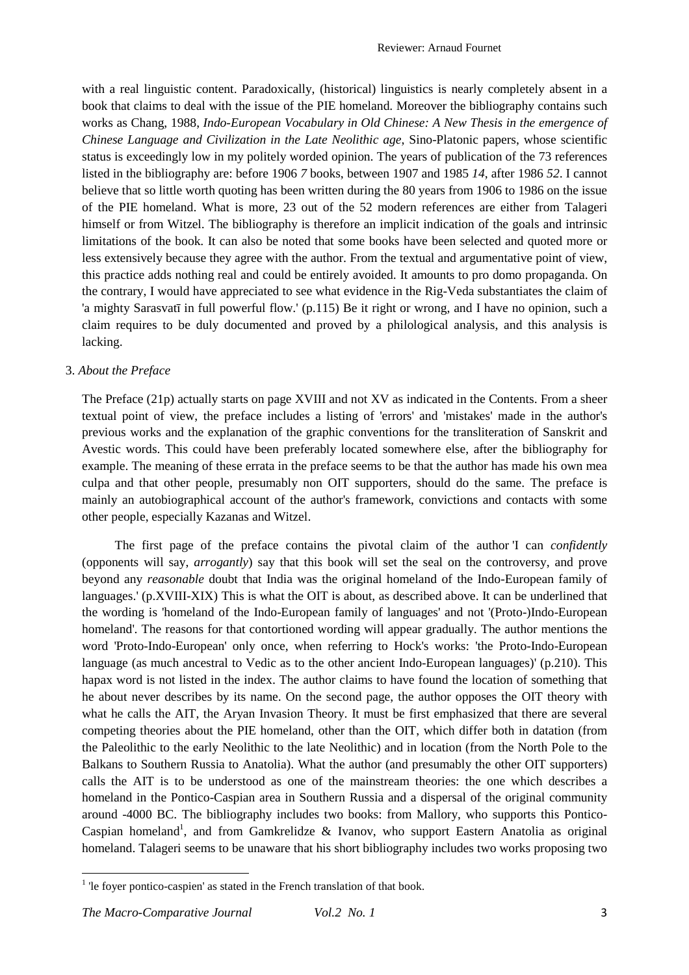with a real linguistic content. Paradoxically, (historical) linguistics is nearly completely absent in a book that claims to deal with the issue of the PIE homeland. Moreover the bibliography contains such works as Chang, 1988, *Indo-European Vocabulary in Old Chinese: A New Thesis in the emergence of Chinese Language and Civilization in the Late Neolithic age*, Sino-Platonic papers, whose scientific status is exceedingly low in my politely worded opinion. The years of publication of the 73 references listed in the bibliography are: before 1906 *7* books, between 1907 and 1985 *14*, after 1986 *52*. I cannot believe that so little worth quoting has been written during the 80 years from 1906 to 1986 on the issue of the PIE homeland. What is more, 23 out of the 52 modern references are either from Talageri himself or from Witzel. The bibliography is therefore an implicit indication of the goals and intrinsic limitations of the book. It can also be noted that some books have been selected and quoted more or less extensively because they agree with the author. From the textual and argumentative point of view, this practice adds nothing real and could be entirely avoided. It amounts to pro domo propaganda. On the contrary, I would have appreciated to see what evidence in the Rig-Veda substantiates the claim of 'a mighty Sarasvatī in full powerful flow.' (p.115) Be it right or wrong, and I have no opinion, such a claim requires to be duly documented and proved by a philological analysis, and this analysis is lacking.

# 3. *About the Preface*

The Preface (21p) actually starts on page XVIII and not XV as indicated in the Contents. From a sheer textual point of view, the preface includes a listing of 'errors' and 'mistakes' made in the author's previous works and the explanation of the graphic conventions for the transliteration of Sanskrit and Avestic words. This could have been preferably located somewhere else, after the bibliography for example. The meaning of these errata in the preface seems to be that the author has made his own mea culpa and that other people, presumably non OIT supporters, should do the same. The preface is mainly an autobiographical account of the author's framework, convictions and contacts with some other people, especially Kazanas and Witzel.

The first page of the preface contains the pivotal claim of the author 'I can *confidently* (opponents will say, *arrogantly*) say that this book will set the seal on the controversy, and prove beyond any *reasonable* doubt that India was the original homeland of the Indo-European family of languages.' (p.XVIII-XIX) This is what the OIT is about, as described above. It can be underlined that the wording is 'homeland of the Indo-European family of languages' and not '(Proto-)Indo-European homeland'. The reasons for that contortioned wording will appear gradually. The author mentions the word 'Proto-Indo-European' only once, when referring to Hock's works: 'the Proto-Indo-European language (as much ancestral to Vedic as to the other ancient Indo-European languages)' (p.210). This hapax word is not listed in the index. The author claims to have found the location of something that he about never describes by its name. On the second page, the author opposes the OIT theory with what he calls the AIT, the Aryan Invasion Theory. It must be first emphasized that there are several competing theories about the PIE homeland, other than the OIT, which differ both in datation (from the Paleolithic to the early Neolithic to the late Neolithic) and in location (from the North Pole to the Balkans to Southern Russia to Anatolia). What the author (and presumably the other OIT supporters) calls the AIT is to be understood as one of the mainstream theories: the one which describes a homeland in the Pontico-Caspian area in Southern Russia and a dispersal of the original community around -4000 BC. The bibliography includes two books: from Mallory, who supports this Pontico-Caspian homeland<sup>1</sup>, and from Gamkrelidze & Ivanov, who support Eastern Anatolia as original homeland. Talageri seems to be unaware that his short bibliography includes two works proposing two

l

<sup>&</sup>lt;sup>1</sup> 'le foyer pontico-caspien' as stated in the French translation of that book.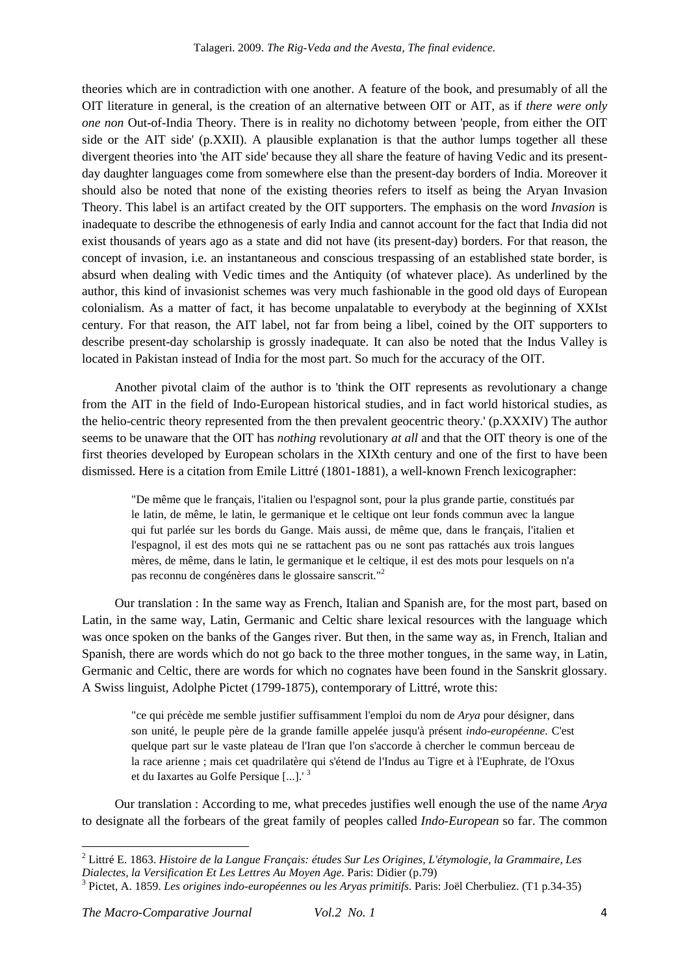theories which are in contradiction with one another. A feature of the book, and presumably of all the OIT literature in general, is the creation of an alternative between OIT or AIT, as if *there were only one non* Out-of-India Theory. There is in reality no dichotomy between 'people, from either the OIT side or the AIT side' (p.XXII). A plausible explanation is that the author lumps together all these divergent theories into 'the AIT side' because they all share the feature of having Vedic and its presentday daughter languages come from somewhere else than the present-day borders of India. Moreover it should also be noted that none of the existing theories refers to itself as being the Aryan Invasion Theory. This label is an artifact created by the OIT supporters. The emphasis on the word *Invasion* is inadequate to describe the ethnogenesis of early India and cannot account for the fact that India did not exist thousands of years ago as a state and did not have (its present-day) borders. For that reason, the concept of invasion, i.e. an instantaneous and conscious trespassing of an established state border, is absurd when dealing with Vedic times and the Antiquity (of whatever place). As underlined by the author, this kind of invasionist schemes was very much fashionable in the good old days of European colonialism. As a matter of fact, it has become unpalatable to everybody at the beginning of XXIst century. For that reason, the AIT label, not far from being a libel, coined by the OIT supporters to describe present-day scholarship is grossly inadequate. It can also be noted that the Indus Valley is located in Pakistan instead of India for the most part. So much for the accuracy of the OIT.

Another pivotal claim of the author is to 'think the OIT represents as revolutionary a change from the AIT in the field of Indo-European historical studies, and in fact world historical studies, as the helio-centric theory represented from the then prevalent geocentric theory.' (p.XXXIV) The author seems to be unaware that the OIT has *nothing* revolutionary *at all* and that the OIT theory is one of the first theories developed by European scholars in the XIXth century and one of the first to have been dismissed. Here is a citation from Emile Littré (1801-1881), a well-known French lexicographer:

"De même que le français, l'italien ou l'espagnol sont, pour la plus grande partie, constitués par le latin, de même, le latin, le germanique et le celtique ont leur fonds commun avec la langue qui fut parlée sur les bords du Gange. Mais aussi, de même que, dans le français, l'italien et l'espagnol, il est des mots qui ne se rattachent pas ou ne sont pas rattachés aux trois langues mères, de même, dans le latin, le germanique et le celtique, il est des mots pour lesquels on n'a pas reconnu de congénères dans le glossaire sanscrit."<sup>2</sup>

Our translation : In the same way as French, Italian and Spanish are, for the most part, based on Latin, in the same way, Latin, Germanic and Celtic share lexical resources with the language which was once spoken on the banks of the Ganges river. But then, in the same way as, in French, Italian and Spanish, there are words which do not go back to the three mother tongues, in the same way, in Latin, Germanic and Celtic, there are words for which no cognates have been found in the Sanskrit glossary. A Swiss linguist, Adolphe Pictet (1799-1875), contemporary of Littré, wrote this:

"ce qui précède me semble justifier suffisamment l'emploi du nom de *Arya* pour désigner, dans son unité, le peuple père de la grande famille appelée jusqu'à présent *indo-européenne*. C'est quelque part sur le vaste plateau de l'Iran que l'on s'accorde à chercher le commun berceau de la race arienne ; mais cet quadrilatère qui s'étend de l'Indus au Tigre et à l'Euphrate, de l'Oxus et du Iaxartes au Golfe Persique [...].' <sup>3</sup>

Our translation : According to me, what precedes justifies well enough the use of the name *Arya* to designate all the forbears of the great family of peoples called *Indo-European* so far. The common

 $\overline{a}$ 

<sup>2</sup> Littré E. 1863. *Histoire de la Langue Français: études Sur Les Origines, L'étymologie, la Grammaire, Les Dialectes, la Versification Et Les Lettres Au Moyen Age*. Paris: Didier (p.79)

<sup>3</sup> Pictet, A. 1859. *Les origines indo-européennes ou les Aryas primitifs*. Paris: Joël Cherbuliez. (T1 p.34-35)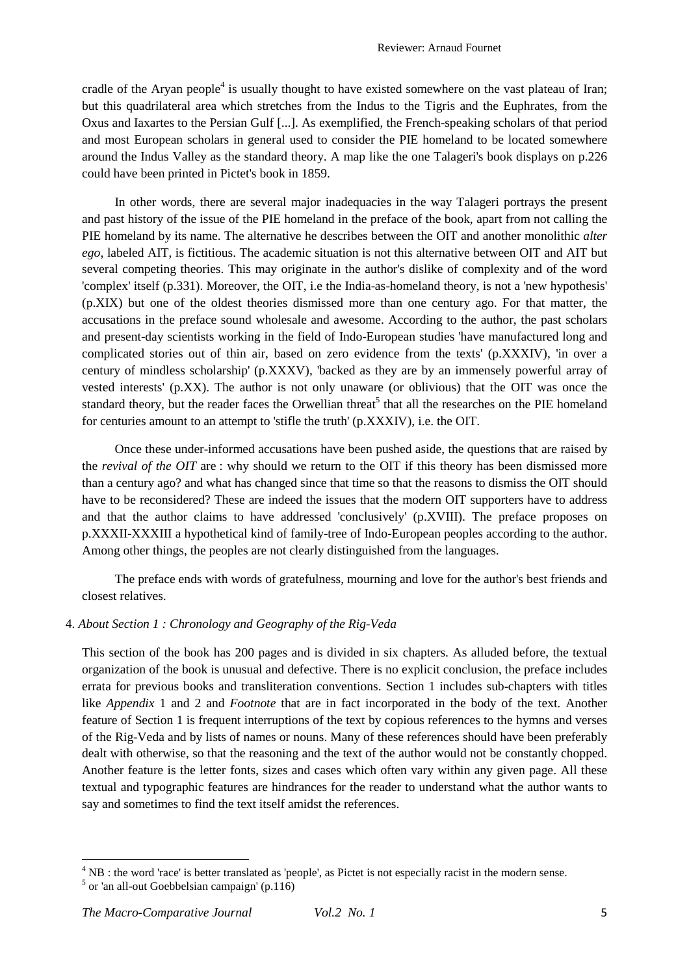cradle of the Aryan people<sup>4</sup> is usually thought to have existed somewhere on the vast plateau of Iran; but this quadrilateral area which stretches from the Indus to the Tigris and the Euphrates, from the Oxus and Iaxartes to the Persian Gulf [...]. As exemplified, the French-speaking scholars of that period and most European scholars in general used to consider the PIE homeland to be located somewhere around the Indus Valley as the standard theory. A map like the one Talageri's book displays on p.226 could have been printed in Pictet's book in 1859.

In other words, there are several major inadequacies in the way Talageri portrays the present and past history of the issue of the PIE homeland in the preface of the book, apart from not calling the PIE homeland by its name. The alternative he describes between the OIT and another monolithic *alter ego*, labeled AIT, is fictitious. The academic situation is not this alternative between OIT and AIT but several competing theories. This may originate in the author's dislike of complexity and of the word 'complex' itself (p.331). Moreover, the OIT, i.e the India-as-homeland theory, is not a 'new hypothesis' (p.XIX) but one of the oldest theories dismissed more than one century ago. For that matter, the accusations in the preface sound wholesale and awesome. According to the author, the past scholars and present-day scientists working in the field of Indo-European studies 'have manufactured long and complicated stories out of thin air, based on zero evidence from the texts' (p.XXXIV), 'in over a century of mindless scholarship' (p.XXXV), 'backed as they are by an immensely powerful array of vested interests' (p.XX). The author is not only unaware (or oblivious) that the OIT was once the standard theory, but the reader faces the Orwellian threat<sup>5</sup> that all the researches on the PIE homeland for centuries amount to an attempt to 'stifle the truth' (p.XXXIV), i.e. the OIT.

Once these under-informed accusations have been pushed aside, the questions that are raised by the *revival of the OIT* are : why should we return to the OIT if this theory has been dismissed more than a century ago? and what has changed since that time so that the reasons to dismiss the OIT should have to be reconsidered? These are indeed the issues that the modern OIT supporters have to address and that the author claims to have addressed 'conclusively' (p.XVIII). The preface proposes on p.XXXII-XXXIII a hypothetical kind of family-tree of Indo-European peoples according to the author. Among other things, the peoples are not clearly distinguished from the languages.

The preface ends with words of gratefulness, mourning and love for the author's best friends and closest relatives.

## 4. *About Section 1 : Chronology and Geography of the Rig-Veda*

This section of the book has 200 pages and is divided in six chapters. As alluded before, the textual organization of the book is unusual and defective. There is no explicit conclusion, the preface includes errata for previous books and transliteration conventions. Section 1 includes sub-chapters with titles like *Appendix* 1 and 2 and *Footnote* that are in fact incorporated in the body of the text. Another feature of Section 1 is frequent interruptions of the text by copious references to the hymns and verses of the Rig-Veda and by lists of names or nouns. Many of these references should have been preferably dealt with otherwise, so that the reasoning and the text of the author would not be constantly chopped. Another feature is the letter fonts, sizes and cases which often vary within any given page. All these textual and typographic features are hindrances for the reader to understand what the author wants to say and sometimes to find the text itself amidst the references.

 $\overline{a}$ 

<sup>&</sup>lt;sup>4</sup> NB : the word 'race' is better translated as 'people', as Pictet is not especially racist in the modern sense.

 $<sup>5</sup>$  or 'an all-out Goebbelsian campaign' (p.116)</sup>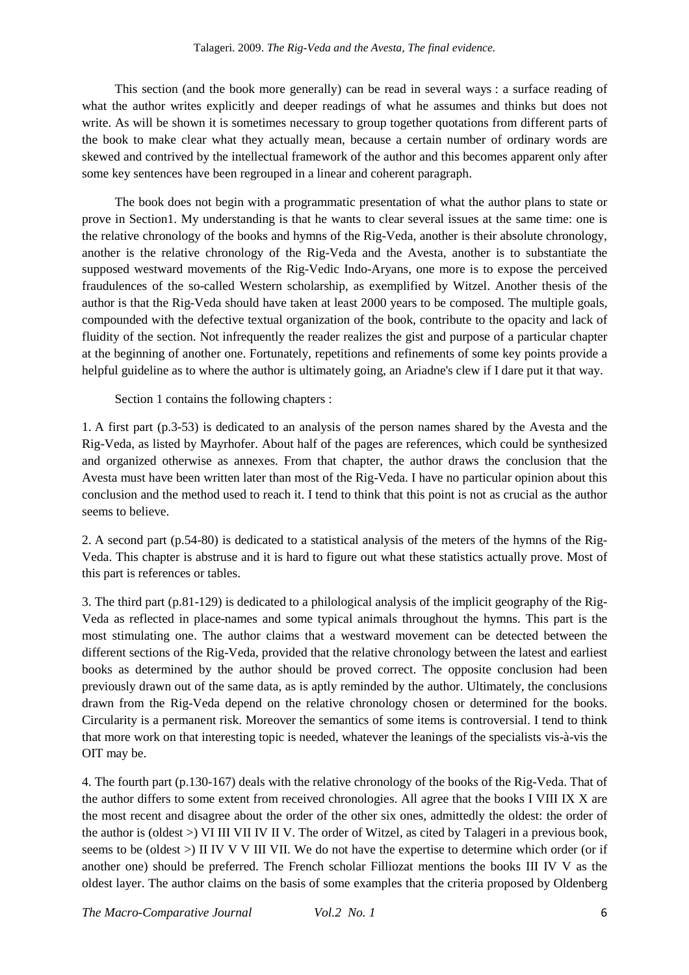This section (and the book more generally) can be read in several ways : a surface reading of what the author writes explicitly and deeper readings of what he assumes and thinks but does not write. As will be shown it is sometimes necessary to group together quotations from different parts of the book to make clear what they actually mean, because a certain number of ordinary words are skewed and contrived by the intellectual framework of the author and this becomes apparent only after some key sentences have been regrouped in a linear and coherent paragraph.

The book does not begin with a programmatic presentation of what the author plans to state or prove in Section1. My understanding is that he wants to clear several issues at the same time: one is the relative chronology of the books and hymns of the Rig-Veda, another is their absolute chronology, another is the relative chronology of the Rig-Veda and the Avesta, another is to substantiate the supposed westward movements of the Rig-Vedic Indo-Aryans, one more is to expose the perceived fraudulences of the so-called Western scholarship, as exemplified by Witzel. Another thesis of the author is that the Rig-Veda should have taken at least 2000 years to be composed. The multiple goals, compounded with the defective textual organization of the book, contribute to the opacity and lack of fluidity of the section. Not infrequently the reader realizes the gist and purpose of a particular chapter at the beginning of another one. Fortunately, repetitions and refinements of some key points provide a helpful guideline as to where the author is ultimately going, an Ariadne's clew if I dare put it that way.

Section 1 contains the following chapters :

1. A first part (p.3-53) is dedicated to an analysis of the person names shared by the Avesta and the Rig-Veda, as listed by Mayrhofer. About half of the pages are references, which could be synthesized and organized otherwise as annexes. From that chapter, the author draws the conclusion that the Avesta must have been written later than most of the Rig-Veda. I have no particular opinion about this conclusion and the method used to reach it. I tend to think that this point is not as crucial as the author seems to believe.

2. A second part (p.54-80) is dedicated to a statistical analysis of the meters of the hymns of the Rig-Veda. This chapter is abstruse and it is hard to figure out what these statistics actually prove. Most of this part is references or tables.

3. The third part (p.81-129) is dedicated to a philological analysis of the implicit geography of the Rig-Veda as reflected in place-names and some typical animals throughout the hymns. This part is the most stimulating one. The author claims that a westward movement can be detected between the different sections of the Rig-Veda, provided that the relative chronology between the latest and earliest books as determined by the author should be proved correct. The opposite conclusion had been previously drawn out of the same data, as is aptly reminded by the author. Ultimately, the conclusions drawn from the Rig-Veda depend on the relative chronology chosen or determined for the books. Circularity is a permanent risk. Moreover the semantics of some items is controversial. I tend to think that more work on that interesting topic is needed, whatever the leanings of the specialists vis-à-vis the OIT may be.

4. The fourth part (p.130-167) deals with the relative chronology of the books of the Rig-Veda. That of the author differs to some extent from received chronologies. All agree that the books I VIII IX X are the most recent and disagree about the order of the other six ones, admittedly the oldest: the order of the author is (oldest >) VI III VII IV II V. The order of Witzel, as cited by Talageri in a previous book, seems to be (oldest >) II IV V V III VII. We do not have the expertise to determine which order (or if another one) should be preferred. The French scholar Filliozat mentions the books III IV V as the oldest layer. The author claims on the basis of some examples that the criteria proposed by Oldenberg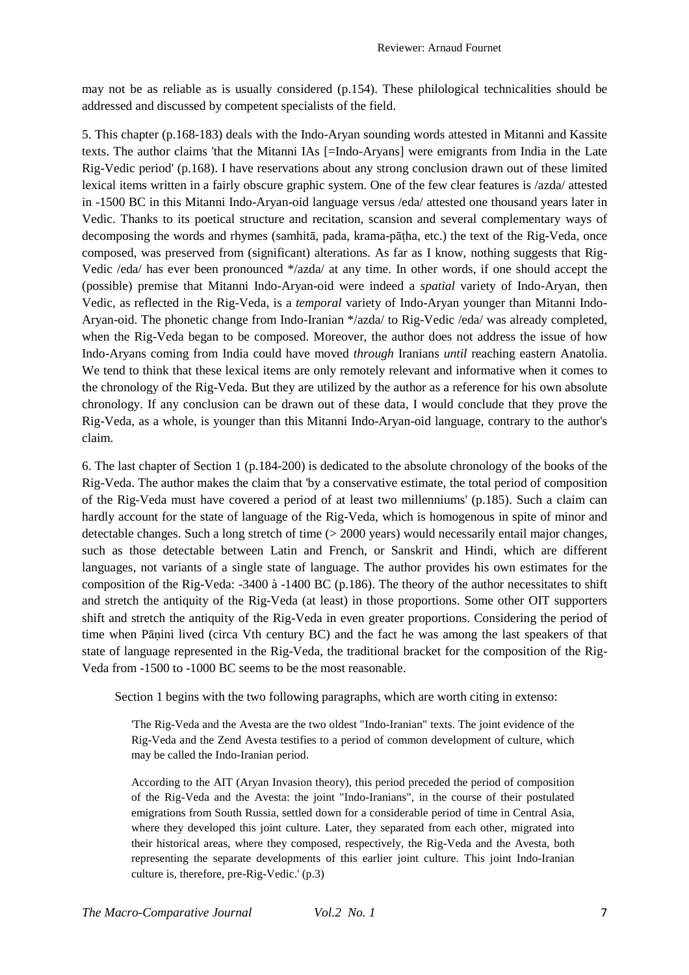may not be as reliable as is usually considered (p.154). These philological technicalities should be addressed and discussed by competent specialists of the field.

5. This chapter (p.168-183) deals with the Indo-Aryan sounding words attested in Mitanni and Kassite texts. The author claims 'that the Mitanni IAs [=Indo-Aryans] were emigrants from India in the Late Rig-Vedic period' (p.168). I have reservations about any strong conclusion drawn out of these limited lexical items written in a fairly obscure graphic system. One of the few clear features is /azda/ attested in -1500 BC in this Mitanni Indo-Aryan-oid language versus /eda/ attested one thousand years later in Vedic. Thanks to its poetical structure and recitation, scansion and several complementary ways of decomposing the words and rhymes (samhitā, pada, krama-pāṭha, etc.) the text of the Rig-Veda, once composed, was preserved from (significant) alterations. As far as I know, nothing suggests that Rig-Vedic /eda/ has ever been pronounced \*/azda/ at any time. In other words, if one should accept the (possible) premise that Mitanni Indo-Aryan-oid were indeed a *spatial* variety of Indo-Aryan, then Vedic, as reflected in the Rig-Veda, is a *temporal* variety of Indo-Aryan younger than Mitanni Indo-Aryan-oid. The phonetic change from Indo-Iranian \*/azda/ to Rig-Vedic /eda/ was already completed, when the Rig-Veda began to be composed. Moreover, the author does not address the issue of how Indo-Aryans coming from India could have moved *through* Iranians *until* reaching eastern Anatolia. We tend to think that these lexical items are only remotely relevant and informative when it comes to the chronology of the Rig-Veda. But they are utilized by the author as a reference for his own absolute chronology. If any conclusion can be drawn out of these data, I would conclude that they prove the Rig-Veda, as a whole, is younger than this Mitanni Indo-Aryan-oid language, contrary to the author's claim.

6. The last chapter of Section 1 (p.184-200) is dedicated to the absolute chronology of the books of the Rig-Veda. The author makes the claim that 'by a conservative estimate, the total period of composition of the Rig-Veda must have covered a period of at least two millenniums' (p.185). Such a claim can hardly account for the state of language of the Rig-Veda, which is homogenous in spite of minor and detectable changes. Such a long stretch of time (> 2000 years) would necessarily entail major changes, such as those detectable between Latin and French, or Sanskrit and Hindi, which are different languages, not variants of a single state of language. The author provides his own estimates for the composition of the Rig-Veda: -3400 à -1400 BC (p.186). The theory of the author necessitates to shift and stretch the antiquity of the Rig-Veda (at least) in those proportions. Some other OIT supporters shift and stretch the antiquity of the Rig-Veda in even greater proportions. Considering the period of time when Pāṇini lived (circa Vth century BC) and the fact he was among the last speakers of that state of language represented in the Rig-Veda, the traditional bracket for the composition of the Rig-Veda from -1500 to -1000 BC seems to be the most reasonable.

Section 1 begins with the two following paragraphs, which are worth citing in extenso:

'The Rig-Veda and the Avesta are the two oldest "Indo-Iranian" texts. The joint evidence of the Rig-Veda and the Zend Avesta testifies to a period of common development of culture, which may be called the Indo-Iranian period.

According to the AIT (Aryan Invasion theory), this period preceded the period of composition of the Rig-Veda and the Avesta: the joint "Indo-Iranians", in the course of their postulated emigrations from South Russia, settled down for a considerable period of time in Central Asia, where they developed this joint culture. Later, they separated from each other, migrated into their historical areas, where they composed, respectively, the Rig-Veda and the Avesta, both representing the separate developments of this earlier joint culture. This joint Indo-Iranian culture is, therefore, pre-Rig-Vedic.' (p.3)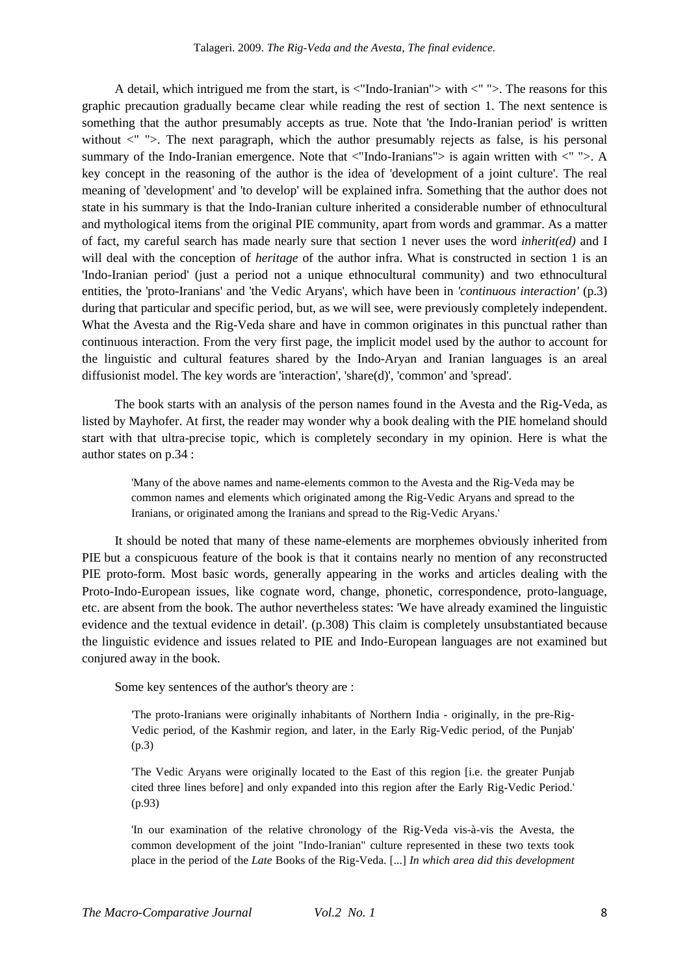A detail, which intrigued me from the start, is  $\langle$ "Indo-Iranian"> with  $\langle$ " ">. The reasons for this graphic precaution gradually became clear while reading the rest of section 1. The next sentence is something that the author presumably accepts as true. Note that 'the Indo-Iranian period' is written without  $\langle$ "  $\rangle$ . The next paragraph, which the author presumably rejects as false, is his personal summary of the Indo-Iranian emergence. Note that  $\langle$ "Indo-Iranians" $>$  is again written with  $\langle$ " " $>$ . A key concept in the reasoning of the author is the idea of 'development of a joint culture'. The real meaning of 'development' and 'to develop' will be explained infra. Something that the author does not state in his summary is that the Indo-Iranian culture inherited a considerable number of ethnocultural and mythological items from the original PIE community, apart from words and grammar. As a matter of fact, my careful search has made nearly sure that section 1 never uses the word *inherit(ed)* and I will deal with the conception of *heritage* of the author infra. What is constructed in section 1 is an 'Indo-Iranian period' (just a period not a unique ethnocultural community) and two ethnocultural entities, the 'proto-Iranians' and 'the Vedic Aryans', which have been in *'continuous interaction'* (p.3) during that particular and specific period, but, as we will see, were previously completely independent. What the Avesta and the Rig-Veda share and have in common originates in this punctual rather than continuous interaction. From the very first page, the implicit model used by the author to account for the linguistic and cultural features shared by the Indo-Aryan and Iranian languages is an areal diffusionist model. The key words are 'interaction', 'share(d)', 'common' and 'spread'.

The book starts with an analysis of the person names found in the Avesta and the Rig-Veda, as listed by Mayhofer. At first, the reader may wonder why a book dealing with the PIE homeland should start with that ultra-precise topic, which is completely secondary in my opinion. Here is what the author states on p.34 :

'Many of the above names and name-elements common to the Avesta and the Rig-Veda may be common names and elements which originated among the Rig-Vedic Aryans and spread to the Iranians, or originated among the Iranians and spread to the Rig-Vedic Aryans.'

It should be noted that many of these name-elements are morphemes obviously inherited from PIE but a conspicuous feature of the book is that it contains nearly no mention of any reconstructed PIE proto-form. Most basic words, generally appearing in the works and articles dealing with the Proto-Indo-European issues, like cognate word, change, phonetic, correspondence, proto-language, etc. are absent from the book. The author nevertheless states: 'We have already examined the linguistic evidence and the textual evidence in detail'. (p.308) This claim is completely unsubstantiated because the linguistic evidence and issues related to PIE and Indo-European languages are not examined but conjured away in the book.

Some key sentences of the author's theory are :

'The proto-Iranians were originally inhabitants of Northern India - originally, in the pre-Rig-Vedic period, of the Kashmir region, and later, in the Early Rig-Vedic period, of the Punjab' (p.3)

'The Vedic Aryans were originally located to the East of this region [i.e. the greater Punjab cited three lines before] and only expanded into this region after the Early Rig-Vedic Period.' (p.93)

'In our examination of the relative chronology of the Rig-Veda vis-à-vis the Avesta, the common development of the joint "Indo-Iranian" culture represented in these two texts took place in the period of the *Late* Books of the Rig-Veda. [...] *In which area did this development*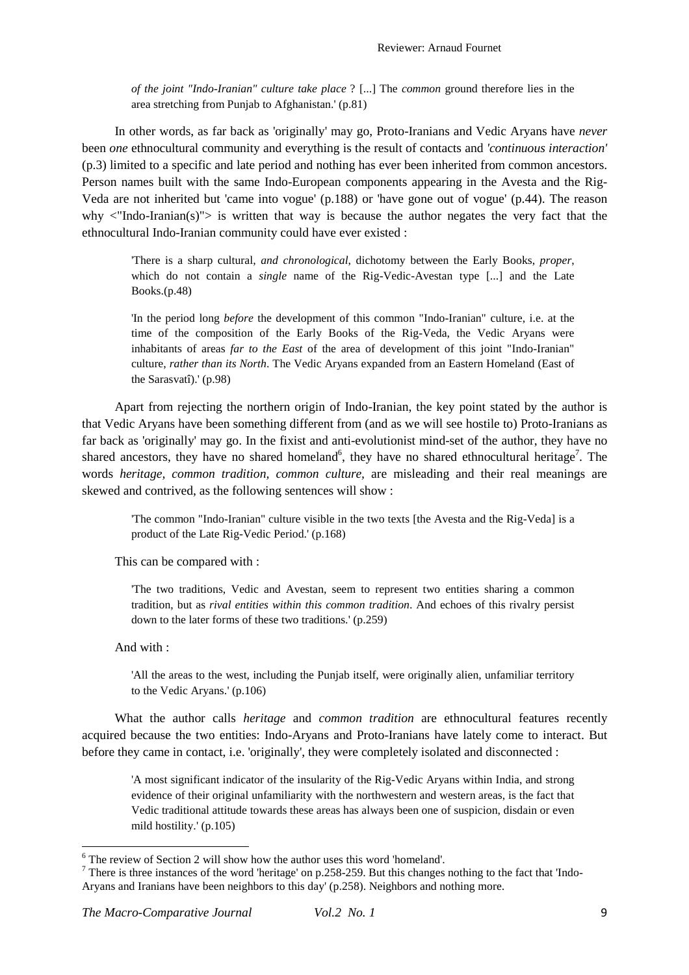*of the joint "Indo-Iranian" culture take place* ? [...] The *common* ground therefore lies in the area stretching from Punjab to Afghanistan.' (p.81)

In other words, as far back as 'originally' may go, Proto-Iranians and Vedic Aryans have *never* been *one* ethnocultural community and everything is the result of contacts and *'continuous interaction'* (p.3) limited to a specific and late period and nothing has ever been inherited from common ancestors. Person names built with the same Indo-European components appearing in the Avesta and the Rig-Veda are not inherited but 'came into vogue' (p.188) or 'have gone out of vogue' (p.44). The reason why  $\langle$ "Indo-Iranian(s)" $>$  is written that way is because the author negates the very fact that the ethnocultural Indo-Iranian community could have ever existed :

'There is a sharp cultural, *and chronological*, dichotomy between the Early Books, *proper*, which do not contain a *single* name of the Rig-Vedic-Avestan type [...] and the Late Books.(p.48)

'In the period long *before* the development of this common "Indo-Iranian" culture, i.e. at the time of the composition of the Early Books of the Rig-Veda, the Vedic Aryans were inhabitants of areas *far to the East* of the area of development of this joint "Indo-Iranian" culture, *rather than its North*. The Vedic Aryans expanded from an Eastern Homeland (East of the Sarasvatî).' (p.98)

Apart from rejecting the northern origin of Indo-Iranian, the key point stated by the author is that Vedic Aryans have been something different from (and as we will see hostile to) Proto-Iranians as far back as 'originally' may go. In the fixist and anti-evolutionist mind-set of the author, they have no shared ancestors, they have no shared homeland<sup>6</sup>, they have no shared ethnocultural heritage<sup>7</sup>. The words *heritage, common tradition, common culture,* are misleading and their real meanings are skewed and contrived, as the following sentences will show :

'The common "Indo-Iranian" culture visible in the two texts [the Avesta and the Rig-Veda] is a product of the Late Rig-Vedic Period.' (p.168)

This can be compared with :

'The two traditions, Vedic and Avestan, seem to represent two entities sharing a common tradition, but as *rival entities within this common tradition*. And echoes of this rivalry persist down to the later forms of these two traditions.' (p.259)

And with :

 $\overline{a}$ 

'All the areas to the west, including the Punjab itself, were originally alien, unfamiliar territory to the Vedic Aryans.' (p.106)

What the author calls *heritage* and *common tradition* are ethnocultural features recently acquired because the two entities: Indo-Aryans and Proto-Iranians have lately come to interact. But before they came in contact, i.e. 'originally', they were completely isolated and disconnected :

'A most significant indicator of the insularity of the Rig-Vedic Aryans within India, and strong evidence of their original unfamiliarity with the northwestern and western areas, is the fact that Vedic traditional attitude towards these areas has always been one of suspicion, disdain or even mild hostility.' (p.105)

<sup>&</sup>lt;sup>6</sup> The review of Section 2 will show how the author uses this word 'homeland'.

There is three instances of the word 'heritage' on p.258-259. But this changes nothing to the fact that 'Indo-Aryans and Iranians have been neighbors to this day' (p.258). Neighbors and nothing more.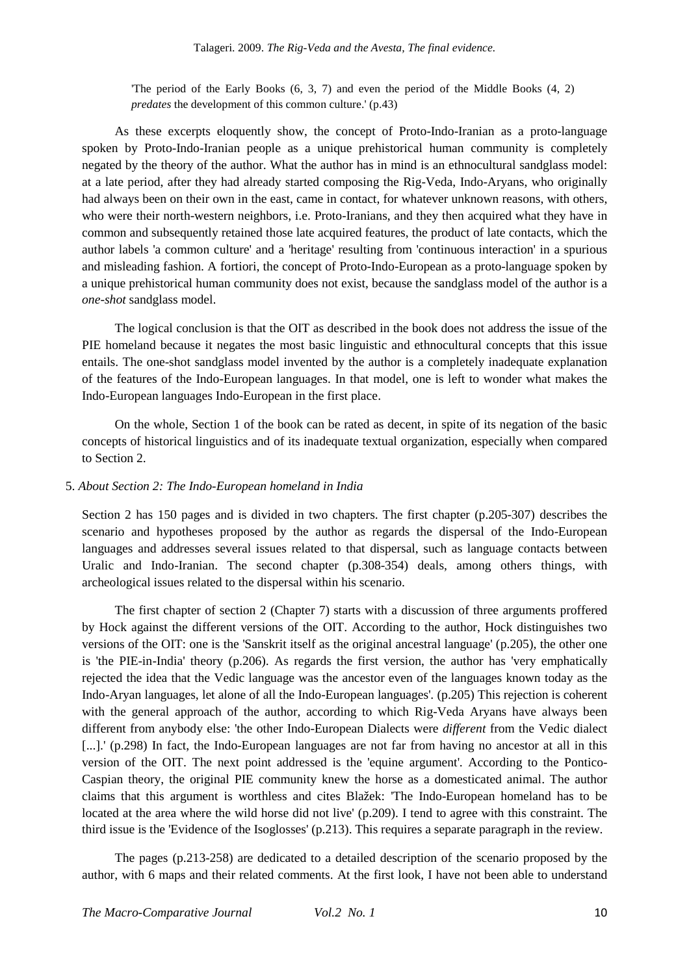'The period of the Early Books (6, 3, 7) and even the period of the Middle Books (4, 2) *predates* the development of this common culture.' (p.43)

As these excerpts eloquently show, the concept of Proto-Indo-Iranian as a proto-language spoken by Proto-Indo-Iranian people as a unique prehistorical human community is completely negated by the theory of the author. What the author has in mind is an ethnocultural sandglass model: at a late period, after they had already started composing the Rig-Veda, Indo-Aryans, who originally had always been on their own in the east, came in contact, for whatever unknown reasons, with others, who were their north-western neighbors, i.e. Proto-Iranians, and they then acquired what they have in common and subsequently retained those late acquired features, the product of late contacts, which the author labels 'a common culture' and a 'heritage' resulting from 'continuous interaction' in a spurious and misleading fashion. A fortiori, the concept of Proto-Indo-European as a proto-language spoken by a unique prehistorical human community does not exist, because the sandglass model of the author is a *one-shot* sandglass model.

The logical conclusion is that the OIT as described in the book does not address the issue of the PIE homeland because it negates the most basic linguistic and ethnocultural concepts that this issue entails. The one-shot sandglass model invented by the author is a completely inadequate explanation of the features of the Indo-European languages. In that model, one is left to wonder what makes the Indo-European languages Indo-European in the first place.

On the whole, Section 1 of the book can be rated as decent, in spite of its negation of the basic concepts of historical linguistics and of its inadequate textual organization, especially when compared to Section 2.

## 5. *About Section 2: The Indo-European homeland in India*

Section 2 has 150 pages and is divided in two chapters. The first chapter (p.205-307) describes the scenario and hypotheses proposed by the author as regards the dispersal of the Indo-European languages and addresses several issues related to that dispersal, such as language contacts between Uralic and Indo-Iranian. The second chapter (p.308-354) deals, among others things, with archeological issues related to the dispersal within his scenario.

The first chapter of section 2 (Chapter 7) starts with a discussion of three arguments proffered by Hock against the different versions of the OIT. According to the author, Hock distinguishes two versions of the OIT: one is the 'Sanskrit itself as the original ancestral language' (p.205), the other one is 'the PIE-in-India' theory (p.206). As regards the first version, the author has 'very emphatically rejected the idea that the Vedic language was the ancestor even of the languages known today as the Indo-Aryan languages, let alone of all the Indo-European languages'. (p.205) This rejection is coherent with the general approach of the author, according to which Rig-Veda Aryans have always been different from anybody else: 'the other Indo-European Dialects were *different* from the Vedic dialect [...].' (p.298) In fact, the Indo-European languages are not far from having no ancestor at all in this version of the OIT. The next point addressed is the 'equine argument'. According to the Pontico-Caspian theory, the original PIE community knew the horse as a domesticated animal. The author claims that this argument is worthless and cites Blažek: 'The Indo-European homeland has to be located at the area where the wild horse did not live' (p.209). I tend to agree with this constraint. The third issue is the 'Evidence of the Isoglosses' (p.213). This requires a separate paragraph in the review.

The pages (p.213-258) are dedicated to a detailed description of the scenario proposed by the author, with 6 maps and their related comments. At the first look, I have not been able to understand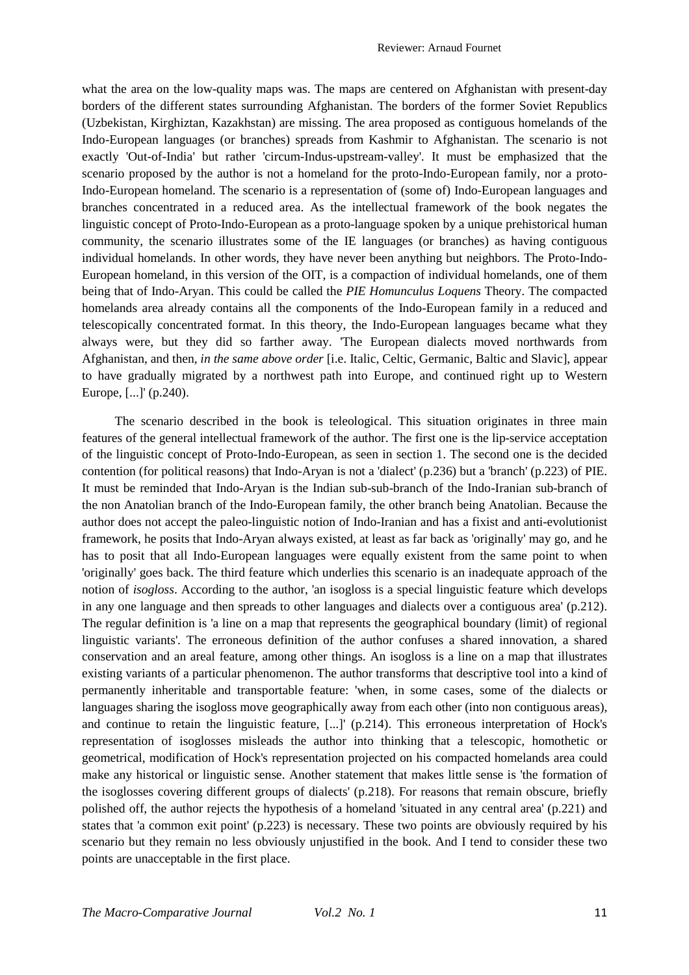what the area on the low-quality maps was. The maps are centered on Afghanistan with present-day borders of the different states surrounding Afghanistan. The borders of the former Soviet Republics (Uzbekistan, Kirghiztan, Kazakhstan) are missing. The area proposed as contiguous homelands of the Indo-European languages (or branches) spreads from Kashmir to Afghanistan. The scenario is not exactly 'Out-of-India' but rather 'circum-Indus-upstream-valley'. It must be emphasized that the scenario proposed by the author is not a homeland for the proto-Indo-European family, nor a proto-Indo-European homeland. The scenario is a representation of (some of) Indo-European languages and branches concentrated in a reduced area. As the intellectual framework of the book negates the linguistic concept of Proto-Indo-European as a proto-language spoken by a unique prehistorical human community, the scenario illustrates some of the IE languages (or branches) as having contiguous individual homelands. In other words, they have never been anything but neighbors. The Proto-Indo-European homeland, in this version of the OIT, is a compaction of individual homelands, one of them being that of Indo-Aryan. This could be called the *PIE Homunculus Loquens* Theory. The compacted homelands area already contains all the components of the Indo-European family in a reduced and telescopically concentrated format. In this theory, the Indo-European languages became what they always were, but they did so farther away. 'The European dialects moved northwards from Afghanistan, and then, *in the same above order* [i.e. Italic, Celtic, Germanic, Baltic and Slavic], appear to have gradually migrated by a northwest path into Europe, and continued right up to Western Europe, [...]' (p.240).

The scenario described in the book is teleological. This situation originates in three main features of the general intellectual framework of the author. The first one is the lip-service acceptation of the linguistic concept of Proto-Indo-European, as seen in section 1. The second one is the decided contention (for political reasons) that Indo-Aryan is not a 'dialect' (p.236) but a 'branch' (p.223) of PIE. It must be reminded that Indo-Aryan is the Indian sub-sub-branch of the Indo-Iranian sub-branch of the non Anatolian branch of the Indo-European family, the other branch being Anatolian. Because the author does not accept the paleo-linguistic notion of Indo-Iranian and has a fixist and anti-evolutionist framework, he posits that Indo-Aryan always existed, at least as far back as 'originally' may go, and he has to posit that all Indo-European languages were equally existent from the same point to when 'originally' goes back. The third feature which underlies this scenario is an inadequate approach of the notion of *isogloss*. According to the author, 'an isogloss is a special linguistic feature which develops in any one language and then spreads to other languages and dialects over a contiguous area' (p.212). The regular definition is 'a line on a map that represents the geographical boundary (limit) of regional linguistic variants'. The erroneous definition of the author confuses a shared innovation, a shared conservation and an areal feature, among other things. An isogloss is a line on a map that illustrates existing variants of a particular phenomenon. The author transforms that descriptive tool into a kind of permanently inheritable and transportable feature: 'when, in some cases, some of the dialects or languages sharing the isogloss move geographically away from each other (into non contiguous areas), and continue to retain the linguistic feature, [...]' (p.214). This erroneous interpretation of Hock's representation of isoglosses misleads the author into thinking that a telescopic, homothetic or geometrical, modification of Hock's representation projected on his compacted homelands area could make any historical or linguistic sense. Another statement that makes little sense is 'the formation of the isoglosses covering different groups of dialects' (p.218). For reasons that remain obscure, briefly polished off, the author rejects the hypothesis of a homeland 'situated in any central area' (p.221) and states that 'a common exit point' (p.223) is necessary. These two points are obviously required by his scenario but they remain no less obviously unjustified in the book. And I tend to consider these two points are unacceptable in the first place.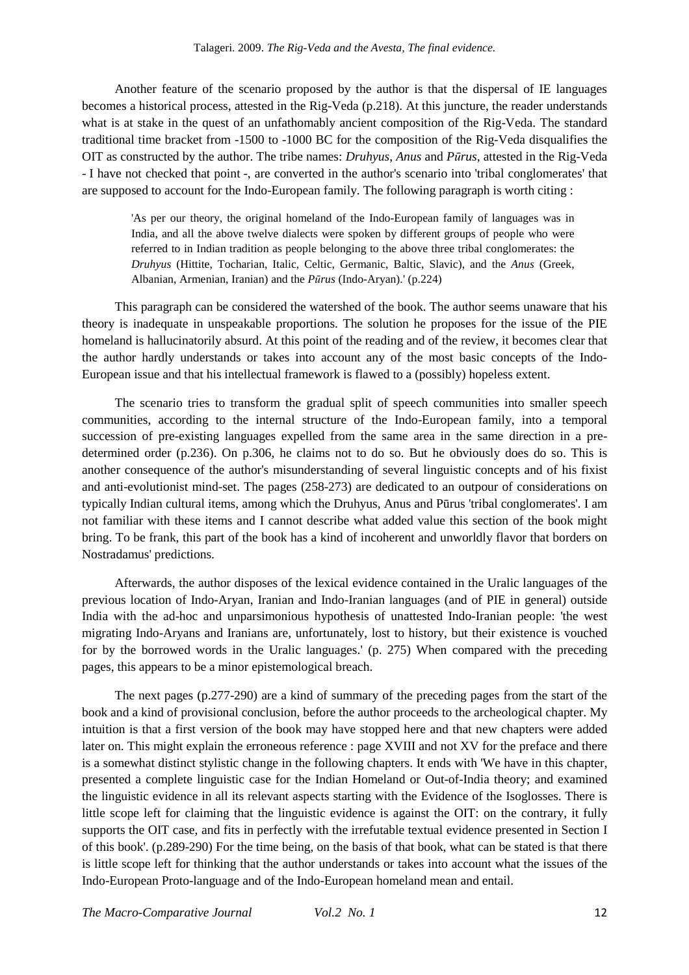Another feature of the scenario proposed by the author is that the dispersal of IE languages becomes a historical process, attested in the Rig-Veda (p.218). At this juncture, the reader understands what is at stake in the quest of an unfathomably ancient composition of the Rig-Veda. The standard traditional time bracket from -1500 to -1000 BC for the composition of the Rig-Veda disqualifies the OIT as constructed by the author. The tribe names: *Druhyus*, *Anus* and *Pūrus*, attested in the Rig-Veda - I have not checked that point -, are converted in the author's scenario into 'tribal conglomerates' that are supposed to account for the Indo-European family. The following paragraph is worth citing :

'As per our theory, the original homeland of the Indo-European family of languages was in India, and all the above twelve dialects were spoken by different groups of people who were referred to in Indian tradition as people belonging to the above three tribal conglomerates: the *Druhyus* (Hittite, Tocharian, Italic, Celtic, Germanic, Baltic, Slavic), and the *Anus* (Greek, Albanian, Armenian, Iranian) and the *Pūrus* (Indo-Aryan).' (p.224)

This paragraph can be considered the watershed of the book. The author seems unaware that his theory is inadequate in unspeakable proportions. The solution he proposes for the issue of the PIE homeland is hallucinatorily absurd. At this point of the reading and of the review, it becomes clear that the author hardly understands or takes into account any of the most basic concepts of the Indo-European issue and that his intellectual framework is flawed to a (possibly) hopeless extent.

The scenario tries to transform the gradual split of speech communities into smaller speech communities, according to the internal structure of the Indo-European family, into a temporal succession of pre-existing languages expelled from the same area in the same direction in a predetermined order (p.236). On p.306, he claims not to do so. But he obviously does do so. This is another consequence of the author's misunderstanding of several linguistic concepts and of his fixist and anti-evolutionist mind-set. The pages (258-273) are dedicated to an outpour of considerations on typically Indian cultural items, among which the Druhyus, Anus and Pūrus 'tribal conglomerates'. I am not familiar with these items and I cannot describe what added value this section of the book might bring. To be frank, this part of the book has a kind of incoherent and unworldly flavor that borders on Nostradamus' predictions.

Afterwards, the author disposes of the lexical evidence contained in the Uralic languages of the previous location of Indo-Aryan, Iranian and Indo-Iranian languages (and of PIE in general) outside India with the ad-hoc and unparsimonious hypothesis of unattested Indo-Iranian people: 'the west migrating Indo-Aryans and Iranians are, unfortunately, lost to history, but their existence is vouched for by the borrowed words in the Uralic languages.' (p. 275) When compared with the preceding pages, this appears to be a minor epistemological breach.

The next pages (p.277-290) are a kind of summary of the preceding pages from the start of the book and a kind of provisional conclusion, before the author proceeds to the archeological chapter. My intuition is that a first version of the book may have stopped here and that new chapters were added later on. This might explain the erroneous reference : page XVIII and not XV for the preface and there is a somewhat distinct stylistic change in the following chapters. It ends with 'We have in this chapter, presented a complete linguistic case for the Indian Homeland or Out-of-India theory; and examined the linguistic evidence in all its relevant aspects starting with the Evidence of the Isoglosses. There is little scope left for claiming that the linguistic evidence is against the OIT: on the contrary, it fully supports the OIT case, and fits in perfectly with the irrefutable textual evidence presented in Section I of this book'. (p.289-290) For the time being, on the basis of that book, what can be stated is that there is little scope left for thinking that the author understands or takes into account what the issues of the Indo-European Proto-language and of the Indo-European homeland mean and entail.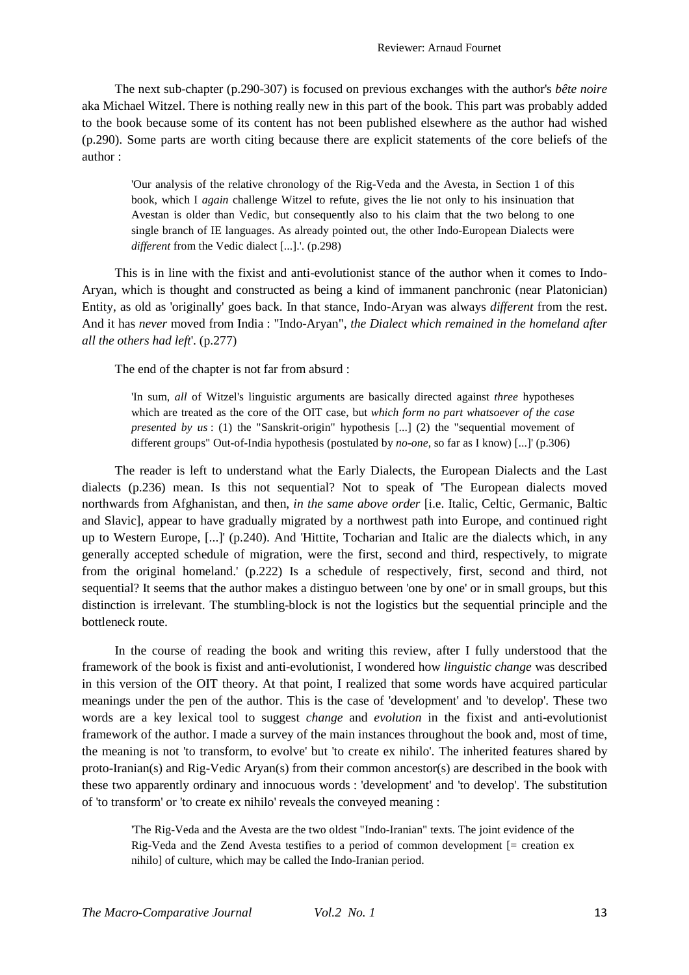The next sub-chapter (p.290-307) is focused on previous exchanges with the author's *bête noire* aka Michael Witzel. There is nothing really new in this part of the book. This part was probably added to the book because some of its content has not been published elsewhere as the author had wished (p.290). Some parts are worth citing because there are explicit statements of the core beliefs of the author :

'Our analysis of the relative chronology of the Rig-Veda and the Avesta, in Section 1 of this book, which I *again* challenge Witzel to refute, gives the lie not only to his insinuation that Avestan is older than Vedic, but consequently also to his claim that the two belong to one single branch of IE languages. As already pointed out, the other Indo-European Dialects were *different* from the Vedic dialect [...].'. (p.298)

This is in line with the fixist and anti-evolutionist stance of the author when it comes to Indo-Aryan, which is thought and constructed as being a kind of immanent panchronic (near Platonician) Entity, as old as 'originally' goes back. In that stance, Indo-Aryan was always *different* from the rest. And it has *never* moved from India : "Indo-Aryan", *the Dialect which remained in the homeland after all the others had left*'. (p.277)

The end of the chapter is not far from absurd :

'In sum, *all* of Witzel's linguistic arguments are basically directed against *three* hypotheses which are treated as the core of the OIT case, but *which form no part whatsoever of the case presented by us* : (1) the "Sanskrit-origin" hypothesis [...] (2) the "sequential movement of different groups" Out-of-India hypothesis (postulated by *no-one*, so far as I know) [...]' (p.306)

The reader is left to understand what the Early Dialects, the European Dialects and the Last dialects (p.236) mean. Is this not sequential? Not to speak of 'The European dialects moved northwards from Afghanistan, and then, *in the same above order* [i.e. Italic, Celtic, Germanic, Baltic and Slavic], appear to have gradually migrated by a northwest path into Europe, and continued right up to Western Europe, [...]' (p.240). And 'Hittite, Tocharian and Italic are the dialects which, in any generally accepted schedule of migration, were the first, second and third, respectively, to migrate from the original homeland.' (p.222) Is a schedule of respectively, first, second and third, not sequential? It seems that the author makes a distinguo between 'one by one' or in small groups, but this distinction is irrelevant. The stumbling-block is not the logistics but the sequential principle and the bottleneck route.

In the course of reading the book and writing this review, after I fully understood that the framework of the book is fixist and anti-evolutionist, I wondered how *linguistic change* was described in this version of the OIT theory. At that point, I realized that some words have acquired particular meanings under the pen of the author. This is the case of 'development' and 'to develop'. These two words are a key lexical tool to suggest *change* and *evolution* in the fixist and anti-evolutionist framework of the author. I made a survey of the main instances throughout the book and, most of time, the meaning is not 'to transform, to evolve' but 'to create ex nihilo'. The inherited features shared by proto-Iranian(s) and Rig-Vedic Aryan(s) from their common ancestor(s) are described in the book with these two apparently ordinary and innocuous words : 'development' and 'to develop'. The substitution of 'to transform' or 'to create ex nihilo' reveals the conveyed meaning :

'The Rig-Veda and the Avesta are the two oldest "Indo-Iranian" texts. The joint evidence of the Rig-Veda and the Zend Avesta testifies to a period of common development [= creation ex nihilo] of culture, which may be called the Indo-Iranian period.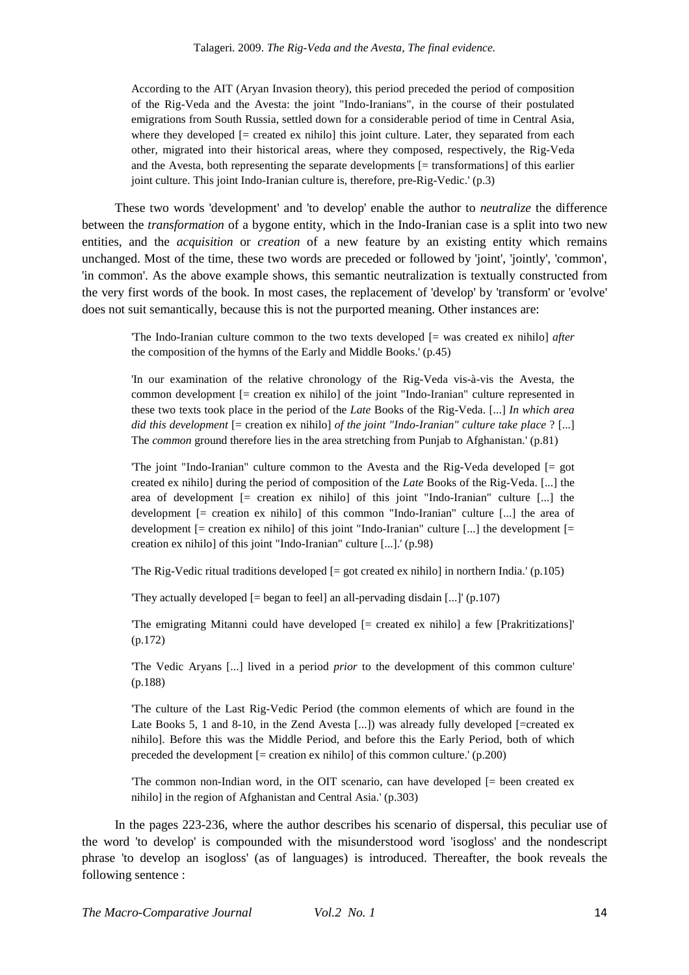According to the AIT (Aryan Invasion theory), this period preceded the period of composition of the Rig-Veda and the Avesta: the joint "Indo-Iranians", in the course of their postulated emigrations from South Russia, settled down for a considerable period of time in Central Asia, where they developed  $[=$  created ex nihilo] this joint culture. Later, they separated from each other, migrated into their historical areas, where they composed, respectively, the Rig-Veda and the Avesta, both representing the separate developments [= transformations] of this earlier joint culture. This joint Indo-Iranian culture is, therefore, pre-Rig-Vedic.' (p.3)

These two words 'development' and 'to develop' enable the author to *neutralize* the difference between the *transformation* of a bygone entity, which in the Indo-Iranian case is a split into two new entities, and the *acquisition* or *creation* of a new feature by an existing entity which remains unchanged. Most of the time, these two words are preceded or followed by 'joint', 'jointly', 'common', 'in common'. As the above example shows, this semantic neutralization is textually constructed from the very first words of the book. In most cases, the replacement of 'develop' by 'transform' or 'evolve' does not suit semantically, because this is not the purported meaning. Other instances are:

'The Indo-Iranian culture common to the two texts developed [= was created ex nihilo] *after* the composition of the hymns of the Early and Middle Books.' (p.45)

'In our examination of the relative chronology of the Rig-Veda vis-à-vis the Avesta, the common development [= creation ex nihilo] of the joint "Indo-Iranian" culture represented in these two texts took place in the period of the *Late* Books of the Rig-Veda. [...] *In which area did this development* [= creation ex nihilo] *of the joint "Indo-Iranian" culture take place* ? [...] The *common* ground therefore lies in the area stretching from Punjab to Afghanistan.' (p.81)

'The joint "Indo-Iranian" culture common to the Avesta and the Rig-Veda developed [= got created ex nihilo] during the period of composition of the *Late* Books of the Rig-Veda. [...] the area of development [= creation ex nihilo] of this joint "Indo-Iranian" culture [...] the development [= creation ex nihilo] of this common "Indo-Iranian" culture [...] the area of development [= creation ex nihilo] of this joint "Indo-Iranian" culture [...] the development [= creation ex nihilo] of this joint "Indo-Iranian" culture [...].' (p.98)

The Rig-Vedic ritual traditions developed  $[=$  got created ex nihilo] in northern India.' (p.105)

'They actually developed  $[=$  began to feel] an all-pervading disdain  $[...]$ ' (p.107)

'The emigrating Mitanni could have developed [= created ex nihilo] a few [Prakritizations]' (p.172)

'The Vedic Aryans [...] lived in a period *prior* to the development of this common culture' (p.188)

'The culture of the Last Rig-Vedic Period (the common elements of which are found in the Late Books 5, 1 and 8-10, in the Zend Avesta [...]) was already fully developed [=created ex nihilo]. Before this was the Middle Period, and before this the Early Period, both of which preceded the development  $[=$  creation ex nihilo] of this common culture.'  $(p.200)$ 

The common non-Indian word, in the OIT scenario, can have developed  $[=$  been created ex nihilo] in the region of Afghanistan and Central Asia.' (p.303)

In the pages 223-236, where the author describes his scenario of dispersal, this peculiar use of the word 'to develop' is compounded with the misunderstood word 'isogloss' and the nondescript phrase 'to develop an isogloss' (as of languages) is introduced. Thereafter, the book reveals the following sentence :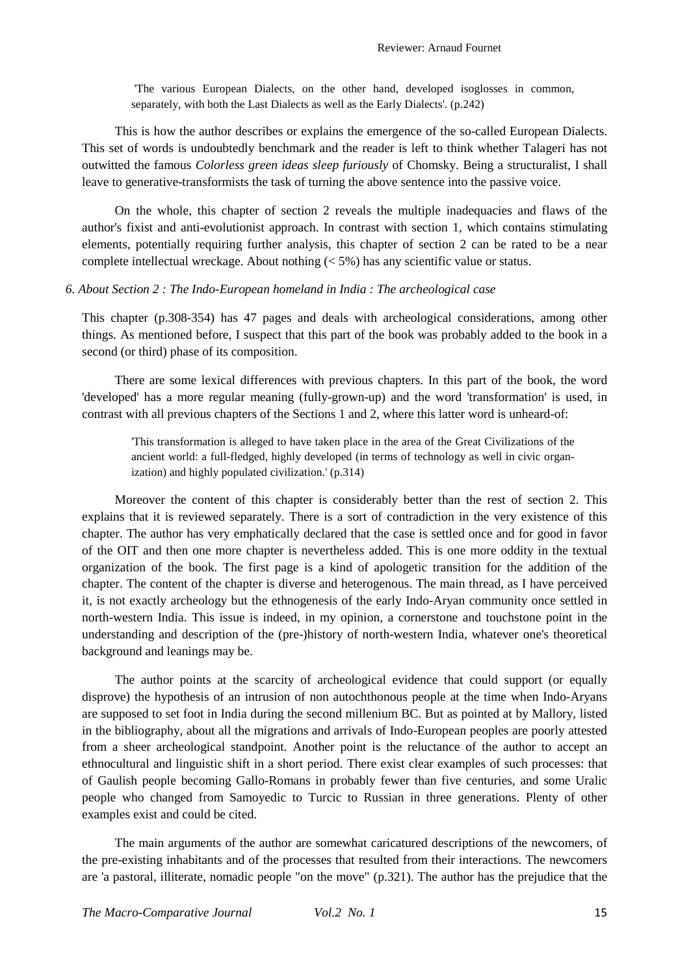'The various European Dialects, on the other hand, developed isoglosses in common, separately, with both the Last Dialects as well as the Early Dialects'. (p.242)

This is how the author describes or explains the emergence of the so-called European Dialects. This set of words is undoubtedly benchmark and the reader is left to think whether Talageri has not outwitted the famous *Colorless green ideas sleep furiously* of Chomsky. Being a structuralist, I shall leave to generative-transformists the task of turning the above sentence into the passive voice.

On the whole, this chapter of section 2 reveals the multiple inadequacies and flaws of the author's fixist and anti-evolutionist approach. In contrast with section 1, which contains stimulating elements, potentially requiring further analysis, this chapter of section 2 can be rated to be a near complete intellectual wreckage. About nothing  $(< 5\%)$  has any scientific value or status.

### *6. About Section 2 : The Indo-European homeland in India : The archeological case*

This chapter (p.308-354) has 47 pages and deals with archeological considerations, among other things. As mentioned before, I suspect that this part of the book was probably added to the book in a second (or third) phase of its composition.

There are some lexical differences with previous chapters. In this part of the book, the word 'developed' has a more regular meaning (fully-grown-up) and the word 'transformation' is used, in contrast with all previous chapters of the Sections 1 and 2, where this latter word is unheard-of:

'This transformation is alleged to have taken place in the area of the Great Civilizations of the ancient world: a full-fledged, highly developed (in terms of technology as well in civic organization) and highly populated civilization.' (p.314)

Moreover the content of this chapter is considerably better than the rest of section 2. This explains that it is reviewed separately. There is a sort of contradiction in the very existence of this chapter. The author has very emphatically declared that the case is settled once and for good in favor of the OIT and then one more chapter is nevertheless added. This is one more oddity in the textual organization of the book. The first page is a kind of apologetic transition for the addition of the chapter. The content of the chapter is diverse and heterogenous. The main thread, as I have perceived it, is not exactly archeology but the ethnogenesis of the early Indo-Aryan community once settled in north-western India. This issue is indeed, in my opinion, a cornerstone and touchstone point in the understanding and description of the (pre-)history of north-western India, whatever one's theoretical background and leanings may be.

The author points at the scarcity of archeological evidence that could support (or equally disprove) the hypothesis of an intrusion of non autochthonous people at the time when Indo-Aryans are supposed to set foot in India during the second millenium BC. But as pointed at by Mallory, listed in the bibliography, about all the migrations and arrivals of Indo-European peoples are poorly attested from a sheer archeological standpoint. Another point is the reluctance of the author to accept an ethnocultural and linguistic shift in a short period. There exist clear examples of such processes: that of Gaulish people becoming Gallo-Romans in probably fewer than five centuries, and some Uralic people who changed from Samoyedic to Turcic to Russian in three generations. Plenty of other examples exist and could be cited.

The main arguments of the author are somewhat caricatured descriptions of the newcomers, of the pre-existing inhabitants and of the processes that resulted from their interactions. The newcomers are 'a pastoral, illiterate, nomadic people "on the move" (p.321). The author has the prejudice that the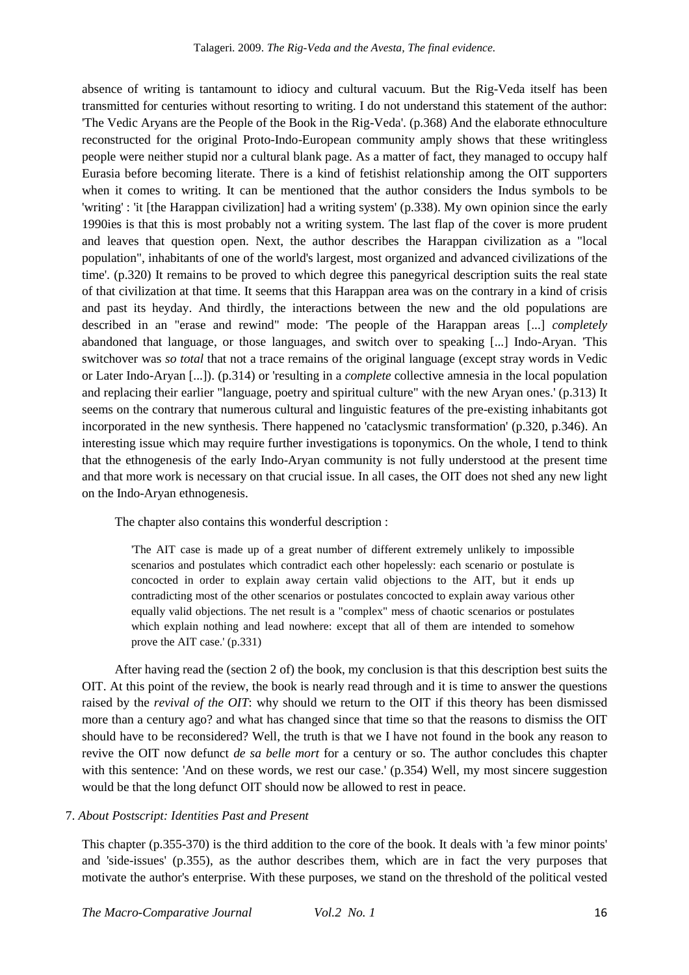absence of writing is tantamount to idiocy and cultural vacuum. But the Rig-Veda itself has been transmitted for centuries without resorting to writing. I do not understand this statement of the author: 'The Vedic Aryans are the People of the Book in the Rig-Veda'. (p.368) And the elaborate ethnoculture reconstructed for the original Proto-Indo-European community amply shows that these writingless people were neither stupid nor a cultural blank page. As a matter of fact, they managed to occupy half Eurasia before becoming literate. There is a kind of fetishist relationship among the OIT supporters when it comes to writing. It can be mentioned that the author considers the Indus symbols to be 'writing' : 'it [the Harappan civilization] had a writing system' (p.338). My own opinion since the early 1990ies is that this is most probably not a writing system. The last flap of the cover is more prudent and leaves that question open. Next, the author describes the Harappan civilization as a "local population", inhabitants of one of the world's largest, most organized and advanced civilizations of the time'. (p.320) It remains to be proved to which degree this panegyrical description suits the real state of that civilization at that time. It seems that this Harappan area was on the contrary in a kind of crisis and past its heyday. And thirdly, the interactions between the new and the old populations are described in an "erase and rewind" mode: 'The people of the Harappan areas [...] *completely* abandoned that language, or those languages, and switch over to speaking [...] Indo-Aryan. 'This switchover was *so total* that not a trace remains of the original language (except stray words in Vedic or Later Indo-Aryan [...]). (p.314) or 'resulting in a *complete* collective amnesia in the local population and replacing their earlier "language, poetry and spiritual culture" with the new Aryan ones.' (p.313) It seems on the contrary that numerous cultural and linguistic features of the pre-existing inhabitants got incorporated in the new synthesis. There happened no 'cataclysmic transformation' (p.320, p.346). An interesting issue which may require further investigations is toponymics. On the whole, I tend to think that the ethnogenesis of the early Indo-Aryan community is not fully understood at the present time and that more work is necessary on that crucial issue. In all cases, the OIT does not shed any new light on the Indo-Aryan ethnogenesis.

The chapter also contains this wonderful description :

'The AIT case is made up of a great number of different extremely unlikely to impossible scenarios and postulates which contradict each other hopelessly: each scenario or postulate is concocted in order to explain away certain valid objections to the AIT, but it ends up contradicting most of the other scenarios or postulates concocted to explain away various other equally valid objections. The net result is a "complex" mess of chaotic scenarios or postulates which explain nothing and lead nowhere: except that all of them are intended to somehow prove the AIT case.' (p.331)

After having read the (section 2 of) the book, my conclusion is that this description best suits the OIT. At this point of the review, the book is nearly read through and it is time to answer the questions raised by the *revival of the OIT*: why should we return to the OIT if this theory has been dismissed more than a century ago? and what has changed since that time so that the reasons to dismiss the OIT should have to be reconsidered? Well, the truth is that we I have not found in the book any reason to revive the OIT now defunct *de sa belle mort* for a century or so. The author concludes this chapter with this sentence: 'And on these words, we rest our case.' (p.354) Well, my most sincere suggestion would be that the long defunct OIT should now be allowed to rest in peace.

## 7. *About Postscript: Identities Past and Present*

This chapter (p.355-370) is the third addition to the core of the book. It deals with 'a few minor points' and 'side-issues' (p.355), as the author describes them, which are in fact the very purposes that motivate the author's enterprise. With these purposes, we stand on the threshold of the political vested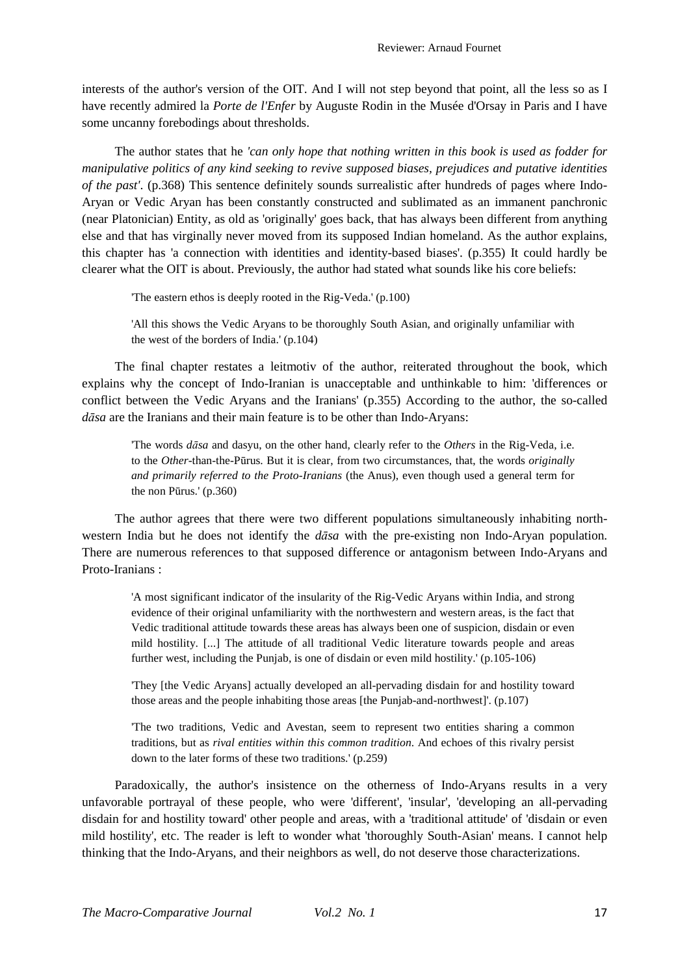interests of the author's version of the OIT. And I will not step beyond that point, all the less so as I have recently admired la *Porte de l'Enfer* by Auguste Rodin in the Musée d'Orsay in Paris and I have some uncanny forebodings about thresholds.

The author states that he *'can only hope that nothing written in this book is used as fodder for manipulative politics of any kind seeking to revive supposed biases, prejudices and putative identities of the past'*. (p.368) This sentence definitely sounds surrealistic after hundreds of pages where Indo-Aryan or Vedic Aryan has been constantly constructed and sublimated as an immanent panchronic (near Platonician) Entity, as old as 'originally' goes back, that has always been different from anything else and that has virginally never moved from its supposed Indian homeland. As the author explains, this chapter has 'a connection with identities and identity-based biases'. (p.355) It could hardly be clearer what the OIT is about. Previously, the author had stated what sounds like his core beliefs:

'The eastern ethos is deeply rooted in the Rig-Veda.' (p.100)

'All this shows the Vedic Aryans to be thoroughly South Asian, and originally unfamiliar with the west of the borders of India.' (p.104)

The final chapter restates a leitmotiv of the author, reiterated throughout the book, which explains why the concept of Indo-Iranian is unacceptable and unthinkable to him: 'differences or conflict between the Vedic Aryans and the Iranians' (p.355) According to the author, the so-called *dāsa* are the Iranians and their main feature is to be other than Indo-Aryans:

'The words *dāsa* and dasyu, on the other hand, clearly refer to the *Others* in the Rig-Veda, i.e. to the *Other*-than-the-Pūrus. But it is clear, from two circumstances, that, the words *originally and primarily referred to the Proto-Iranians* (the Anus), even though used a general term for the non Pūrus.' (p.360)

The author agrees that there were two different populations simultaneously inhabiting northwestern India but he does not identify the *dāsa* with the pre-existing non Indo-Aryan population. There are numerous references to that supposed difference or antagonism between Indo-Aryans and Proto-Iranians :

'A most significant indicator of the insularity of the Rig-Vedic Aryans within India, and strong evidence of their original unfamiliarity with the northwestern and western areas, is the fact that Vedic traditional attitude towards these areas has always been one of suspicion, disdain or even mild hostility. [...] The attitude of all traditional Vedic literature towards people and areas further west, including the Punjab, is one of disdain or even mild hostility.' (p.105-106)

'They [the Vedic Aryans] actually developed an all-pervading disdain for and hostility toward those areas and the people inhabiting those areas [the Punjab-and-northwest]'. (p.107)

'The two traditions, Vedic and Avestan, seem to represent two entities sharing a common traditions, but as *rival entities within this common tradition*. And echoes of this rivalry persist down to the later forms of these two traditions.' (p.259)

Paradoxically, the author's insistence on the otherness of Indo-Aryans results in a very unfavorable portrayal of these people, who were 'different', 'insular', 'developing an all-pervading disdain for and hostility toward' other people and areas, with a 'traditional attitude' of 'disdain or even mild hostility', etc. The reader is left to wonder what 'thoroughly South-Asian' means. I cannot help thinking that the Indo-Aryans, and their neighbors as well, do not deserve those characterizations.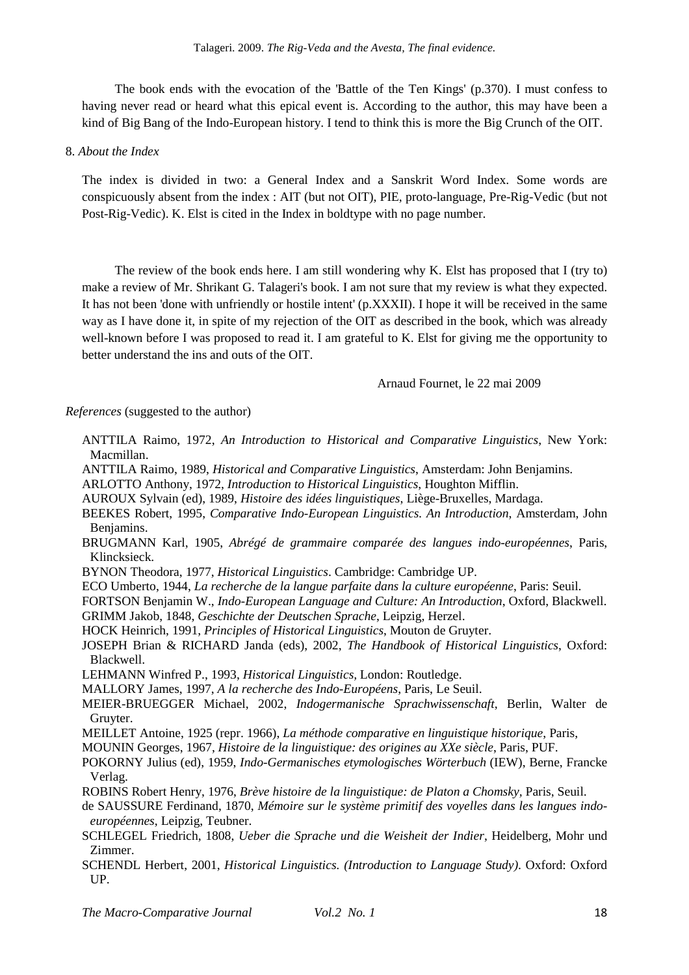The book ends with the evocation of the 'Battle of the Ten Kings' (p.370). I must confess to having never read or heard what this epical event is. According to the author, this may have been a kind of Big Bang of the Indo-European history. I tend to think this is more the Big Crunch of the OIT.

8. *About the Index*

The index is divided in two: a General Index and a Sanskrit Word Index. Some words are conspicuously absent from the index : AIT (but not OIT), PIE, proto-language, Pre-Rig-Vedic (but not Post-Rig-Vedic). K. Elst is cited in the Index in boldtype with no page number.

The review of the book ends here. I am still wondering why K. Elst has proposed that I (try to) make a review of Mr. Shrikant G. Talageri's book. I am not sure that my review is what they expected. It has not been 'done with unfriendly or hostile intent' (p.XXXII). I hope it will be received in the same way as I have done it, in spite of my rejection of the OIT as described in the book, which was already well-known before I was proposed to read it. I am grateful to K. Elst for giving me the opportunity to better understand the ins and outs of the OIT.

Arnaud Fournet, le 22 mai 2009

*References* (suggested to the author)

- ANTTILA Raimo, 1972, *An Introduction to Historical and Comparative Linguistics*, New York: Macmillan.
- ANTTILA Raimo, 1989, *Historical and Comparative Linguistics*, Amsterdam: John Benjamins.
- ARLOTTO Anthony, 1972, *Introduction to Historical Linguistics*, Houghton Mifflin.
- AUROUX Sylvain (ed), 1989, *Histoire des idées linguistiques*, Liège-Bruxelles, Mardaga.
- BEEKES Robert, 1995, *Comparative Indo-European Linguistics. An Introduction*, Amsterdam, John Benjamins.
- BRUGMANN Karl, 1905, *Abrégé de grammaire comparée des langues indo-européennes*, Paris, Klincksieck.
- BYNON Theodora, 1977, *Historical Linguistics*. Cambridge: Cambridge UP.
- ECO Umberto, 1944, *La recherche de la langue parfaite dans la culture européenne*, Paris: Seuil.
- FORTSON Benjamin W., *Indo-European Language and Culture: An Introduction*, Oxford, Blackwell. GRIMM Jakob, 1848, *Geschichte der Deutschen Sprache*, Leipzig, Herzel.
- HOCK Heinrich, 1991, *Principles of Historical Linguistics*, Mouton de Gruyter.
- JOSEPH Brian & RICHARD Janda (eds), 2002, *The Handbook of Historical Linguistics*, Oxford: Blackwell.
- LEHMANN Winfred P., 1993, *Historical Linguistics,* London: Routledge.
- MALLORY James, 1997, *A la recherche des Indo-Européens*, Paris, Le Seuil.
- MEIER-BRUEGGER Michael, 2002, *Indogermanische Sprachwissenschaft*, Berlin, Walter de Gruyter.
- MEILLET Antoine, 1925 (repr. 1966), *La méthode comparative en linguistique historique*, Paris,

MOUNIN Georges, 1967, *Histoire de la linguistique: des origines au XXe siècle*, Paris, PUF.

- POKORNY Julius (ed), 1959, *Indo-Germanisches etymologisches Wörterbuch* (IEW), Berne, Francke Verlag.
- ROBINS Robert Henry, 1976, *Brève histoire de la linguistique: de Platon a Chomsky,* Paris, Seuil.
- de SAUSSURE Ferdinand, 1870, *Mémoire sur le système primitif des voyelles dans les langues indoeuropéennes*, Leipzig, Teubner.
- SCHLEGEL Friedrich, 1808, *Ueber die Sprache und die Weisheit der Indier*, Heidelberg, Mohr und Zimmer.
- SCHENDL Herbert, 2001, *Historical Linguistics. (Introduction to Language Study)*. Oxford: Oxford UP.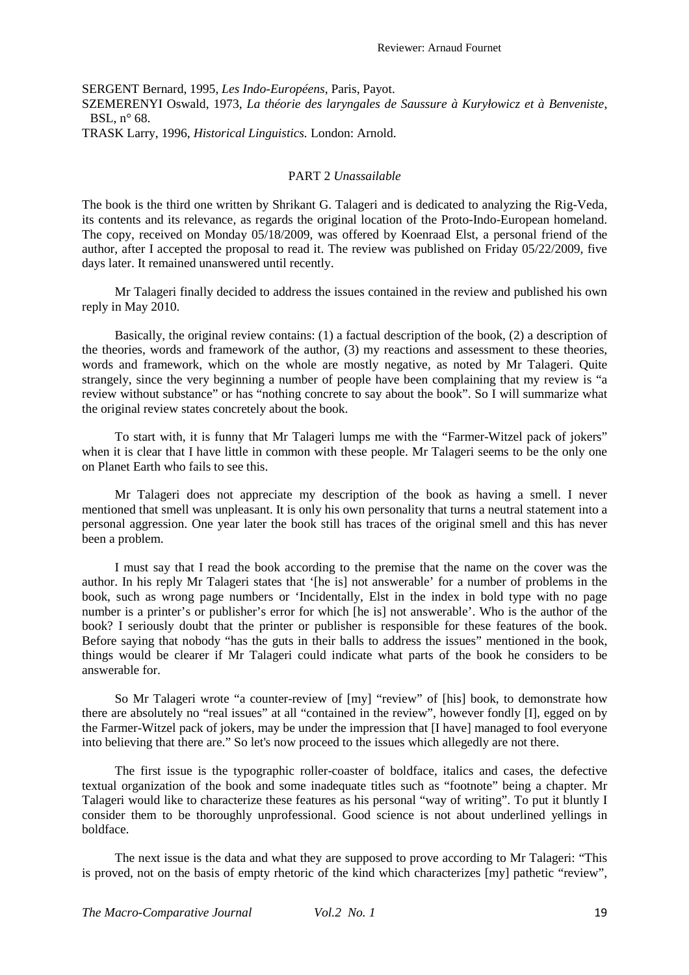SERGENT Bernard, 1995, *Les Indo-Européens*, Paris, Payot. SZEMERENYI Oswald, 1973, *La théorie des laryngales de Saussure à Kuryłowicz et à Benveniste*, BSL, n° 68. TRASK Larry, 1996, *Historical Linguistics.* London: Arnold.

### PART 2 *Unassailable*

The book is the third one written by Shrikant G. Talageri and is dedicated to analyzing the Rig-Veda, its contents and its relevance, as regards the original location of the Proto-Indo-European homeland. The copy, received on Monday 05/18/2009, was offered by Koenraad Elst, a personal friend of the author, after I accepted the proposal to read it. The review was published on Friday 05/22/2009, five days later. It remained unanswered until recently.

Mr Talageri finally decided to address the issues contained in the review and published his own reply in May 2010.

Basically, the original review contains: (1) a factual description of the book, (2) a description of the theories, words and framework of the author, (3) my reactions and assessment to these theories, words and framework, which on the whole are mostly negative, as noted by Mr Talageri. Quite strangely, since the very beginning a number of people have been complaining that my review is "a review without substance" or has "nothing concrete to say about the book". So I will summarize what the original review states concretely about the book.

To start with, it is funny that Mr Talageri lumps me with the "Farmer-Witzel pack of jokers" when it is clear that I have little in common with these people. Mr Talageri seems to be the only one on Planet Earth who fails to see this.

Mr Talageri does not appreciate my description of the book as having a smell. I never mentioned that smell was unpleasant. It is only his own personality that turns a neutral statement into a personal aggression. One year later the book still has traces of the original smell and this has never been a problem.

I must say that I read the book according to the premise that the name on the cover was the author. In his reply Mr Talageri states that '[he is] not answerable' for a number of problems in the book, such as wrong page numbers or 'Incidentally, Elst in the index in bold type with no page number is a printer's or publisher's error for which [he is] not answerable'. Who is the author of the book? I seriously doubt that the printer or publisher is responsible for these features of the book. Before saying that nobody "has the guts in their balls to address the issues" mentioned in the book, things would be clearer if Mr Talageri could indicate what parts of the book he considers to be answerable for.

So Mr Talageri wrote "a counter-review of [my] "review" of [his] book, to demonstrate how there are absolutely no "real issues" at all "contained in the review", however fondly [I], egged on by the Farmer-Witzel pack of jokers, may be under the impression that [I have] managed to fool everyone into believing that there are." So let's now proceed to the issues which allegedly are not there.

The first issue is the typographic roller-coaster of boldface, italics and cases, the defective textual organization of the book and some inadequate titles such as "footnote" being a chapter. Mr Talageri would like to characterize these features as his personal "way of writing". To put it bluntly I consider them to be thoroughly unprofessional. Good science is not about underlined yellings in boldface.

The next issue is the data and what they are supposed to prove according to Mr Talageri: "This is proved, not on the basis of empty rhetoric of the kind which characterizes [my] pathetic "review",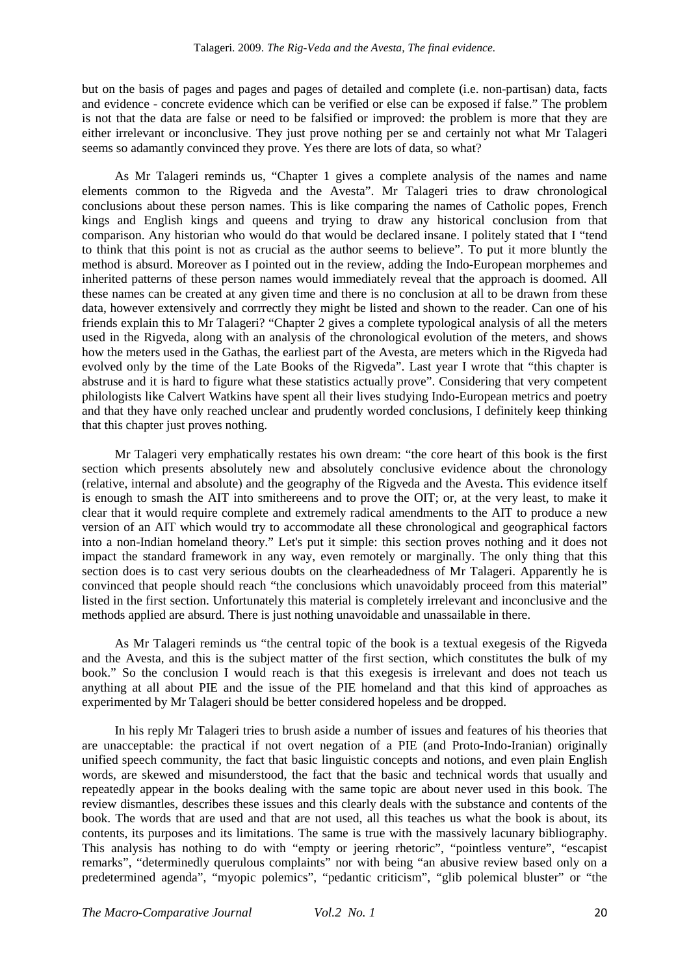but on the basis of pages and pages and pages of detailed and complete (i.e. non-partisan) data, facts and evidence - concrete evidence which can be verified or else can be exposed if false." The problem is not that the data are false or need to be falsified or improved: the problem is more that they are either irrelevant or inconclusive. They just prove nothing per se and certainly not what Mr Talageri seems so adamantly convinced they prove. Yes there are lots of data, so what?

As Mr Talageri reminds us, "Chapter 1 gives a complete analysis of the names and name elements common to the Rigveda and the Avesta". Mr Talageri tries to draw chronological conclusions about these person names. This is like comparing the names of Catholic popes, French kings and English kings and queens and trying to draw any historical conclusion from that comparison. Any historian who would do that would be declared insane. I politely stated that I "tend to think that this point is not as crucial as the author seems to believe". To put it more bluntly the method is absurd. Moreover as I pointed out in the review, adding the Indo-European morphemes and inherited patterns of these person names would immediately reveal that the approach is doomed. All these names can be created at any given time and there is no conclusion at all to be drawn from these data, however extensively and corrrectly they might be listed and shown to the reader. Can one of his friends explain this to Mr Talageri? "Chapter 2 gives a complete typological analysis of all the meters used in the Rigveda, along with an analysis of the chronological evolution of the meters, and shows how the meters used in the Gathas, the earliest part of the Avesta, are meters which in the Rigveda had evolved only by the time of the Late Books of the Rigveda". Last year I wrote that "this chapter is abstruse and it is hard to figure what these statistics actually prove". Considering that very competent philologists like Calvert Watkins have spent all their lives studying Indo-European metrics and poetry and that they have only reached unclear and prudently worded conclusions, I definitely keep thinking that this chapter just proves nothing.

Mr Talageri very emphatically restates his own dream: "the core heart of this book is the first section which presents absolutely new and absolutely conclusive evidence about the chronology (relative, internal and absolute) and the geography of the Rigveda and the Avesta. This evidence itself is enough to smash the AIT into smithereens and to prove the OIT; or, at the very least, to make it clear that it would require complete and extremely radical amendments to the AIT to produce a new version of an AIT which would try to accommodate all these chronological and geographical factors into a non-Indian homeland theory." Let's put it simple: this section proves nothing and it does not impact the standard framework in any way, even remotely or marginally. The only thing that this section does is to cast very serious doubts on the clearheadedness of Mr Talageri. Apparently he is convinced that people should reach "the conclusions which unavoidably proceed from this material" listed in the first section. Unfortunately this material is completely irrelevant and inconclusive and the methods applied are absurd. There is just nothing unavoidable and unassailable in there.

As Mr Talageri reminds us "the central topic of the book is a textual exegesis of the Rigveda and the Avesta, and this is the subject matter of the first section, which constitutes the bulk of my book." So the conclusion I would reach is that this exegesis is irrelevant and does not teach us anything at all about PIE and the issue of the PIE homeland and that this kind of approaches as experimented by Mr Talageri should be better considered hopeless and be dropped.

In his reply Mr Talageri tries to brush aside a number of issues and features of his theories that are unacceptable: the practical if not overt negation of a PIE (and Proto-Indo-Iranian) originally unified speech community, the fact that basic linguistic concepts and notions, and even plain English words, are skewed and misunderstood, the fact that the basic and technical words that usually and repeatedly appear in the books dealing with the same topic are about never used in this book. The review dismantles, describes these issues and this clearly deals with the substance and contents of the book. The words that are used and that are not used, all this teaches us what the book is about, its contents, its purposes and its limitations. The same is true with the massively lacunary bibliography. This analysis has nothing to do with "empty or jeering rhetoric", "pointless venture", "escapist remarks", "determinedly querulous complaints" nor with being "an abusive review based only on a predetermined agenda", "myopic polemics", "pedantic criticism", "glib polemical bluster" or "the